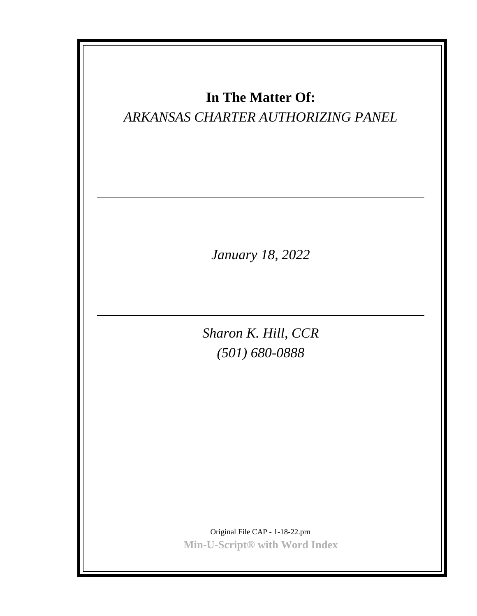| In The Matter Of:<br>ARKANSAS CHARTER AUTHORIZING PANEL          |
|------------------------------------------------------------------|
| January 18, 2022                                                 |
| Sharon K. Hill, CCR<br>$(501) 680 - 0888$                        |
| Original File CAP - 1-18-22.prn<br>Min-U-Script® with Word Index |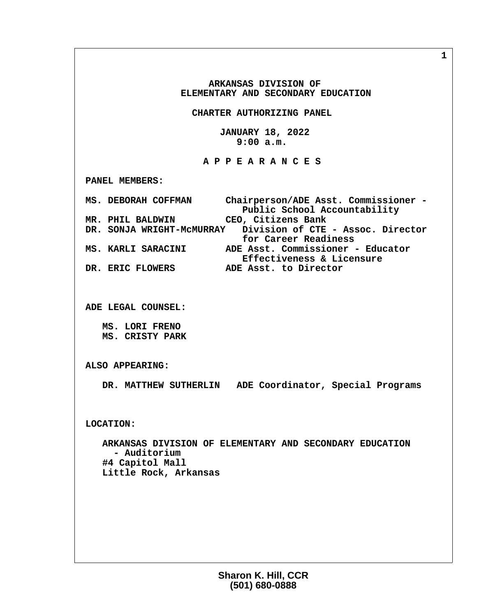**ARKANSAS DIVISION OF ELEMENTARY AND SECONDARY EDUCATION CHARTER AUTHORIZING PANEL JANUARY 18, 2022 9:00 a.m. A P P E A R A N C E S PANEL MEMBERS: MS. DEBORAH COFFMAN Chairperson/ADE Asst. Commissioner - Public School Accountability MR. PHIL BALDWIN CEO, Citizens Bank DR. SONJA WRIGHT-McMURRAY Division of CTE - Assoc. Director for Career Readiness**<br>MS. KARLI SARACINI ADE Asst. Commissioner  **MS. KARLI SARACINI ADE Asst. Commissioner - Educator Effectiveness & Licensure DR. ERIC FLOWERS ADE Asst. to Director ADE LEGAL COUNSEL: MS. LORI FRENO MS. CRISTY PARK ALSO APPEARING: DR. MATTHEW SUTHERLIN ADE Coordinator, Special Programs LOCATION: ARKANSAS DIVISION OF ELEMENTARY AND SECONDARY EDUCATION - Auditorium #4 Capitol Mall Little Rock, Arkansas**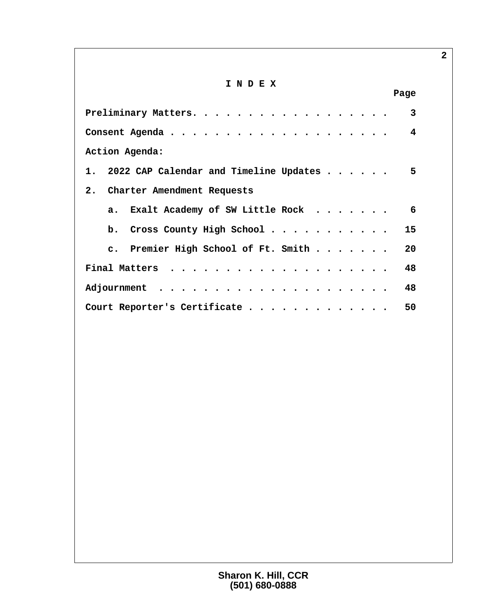# **I N D E X**

| Page                                                    |
|---------------------------------------------------------|
| 3                                                       |
| 4                                                       |
| Action Agenda:                                          |
| 1. 2022 CAP Calendar and Timeline Updates $\ldots$<br>5 |
| 2. Charter Amendment Requests                           |
| a. Exalt Academy of SW Little Rock<br>6                 |
| b. Cross County High School $\cdots$ 15                 |
| c. Premier High School of Ft. Smith $\ldots$<br>20      |
| 48                                                      |
| 48                                                      |
| Court Reporter's Certificate<br>50                      |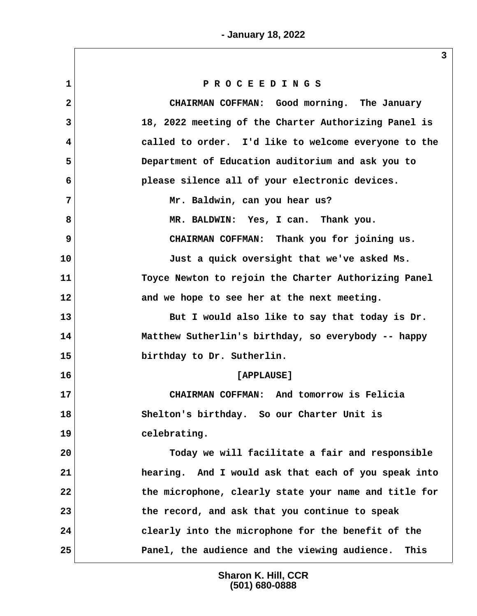| $\mathbf{1}$   | PROCEEDINGS                                           |
|----------------|-------------------------------------------------------|
| $\overline{2}$ | CHAIRMAN COFFMAN: Good morning. The January           |
| 3              | 18, 2022 meeting of the Charter Authorizing Panel is  |
| 4              | called to order. I'd like to welcome everyone to the  |
| 5              | Department of Education auditorium and ask you to     |
| 6              | please silence all of your electronic devices.        |
| 7              | Mr. Baldwin, can you hear us?                         |
| 8              | MR. BALDWIN: Yes, I can. Thank you.                   |
| 9              | CHAIRMAN COFFMAN: Thank you for joining us.           |
| 10             | Just a quick oversight that we've asked Ms.           |
| 11             | Toyce Newton to rejoin the Charter Authorizing Panel  |
| 12             | and we hope to see her at the next meeting.           |
| 13             | But I would also like to say that today is Dr.        |
| 14             | Matthew Sutherlin's birthday, so everybody -- happy   |
| 15             | birthday to Dr. Sutherlin.                            |
| 16             | [APPLAUSE]                                            |
| 17             | CHAIRMAN COFFMAN: And tomorrow is Felicia             |
| 18             | Shelton's birthday. So our Charter Unit is            |
| 19             | celebrating.                                          |
| 20             | Today we will facilitate a fair and responsible       |
| 21             | hearing. And I would ask that each of you speak into  |
| 22             | the microphone, clearly state your name and title for |
| 23             | the record, and ask that you continue to speak        |
| 24             | clearly into the microphone for the benefit of the    |
| 25             | Panel, the audience and the viewing audience.<br>This |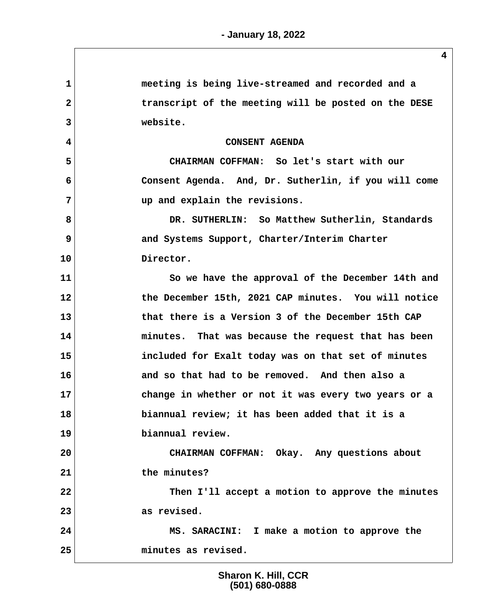| $\mathbf{1}$ | meeting is being live-streamed and recorded and a    |
|--------------|------------------------------------------------------|
| $\mathbf{2}$ | transcript of the meeting will be posted on the DESE |
| 3            | website.                                             |
| 4            | <b>CONSENT AGENDA</b>                                |
| 5            | CHAIRMAN COFFMAN: So let's start with our            |
| 6            | Consent Agenda. And, Dr. Sutherlin, if you will come |
| 7            | up and explain the revisions.                        |
| 8            | DR. SUTHERLIN: So Matthew Sutherlin, Standards       |
| 9            | and Systems Support, Charter/Interim Charter         |
| 10           | Director.                                            |
| 11           | So we have the approval of the December 14th and     |
| 12           | the December 15th, 2021 CAP minutes. You will notice |
| 13           | that there is a Version 3 of the December 15th CAP   |
| 14           | minutes. That was because the request that has been  |
| 15           | included for Exalt today was on that set of minutes  |
| 16           | and so that had to be removed. And then also a       |
| 17           | change in whether or not it was every two years or a |
| 18           | biannual review; it has been added that it is a      |
| 19           | biannual review.                                     |
| 20           | CHAIRMAN COFFMAN: Okay. Any questions about          |
| 21           | the minutes?                                         |
| 22           | Then I'll accept a motion to approve the minutes     |
| 23           | as revised.                                          |
| 24           | MS. SARACINI: I make a motion to approve the         |
| 25           | minutes as revised.                                  |
|              |                                                      |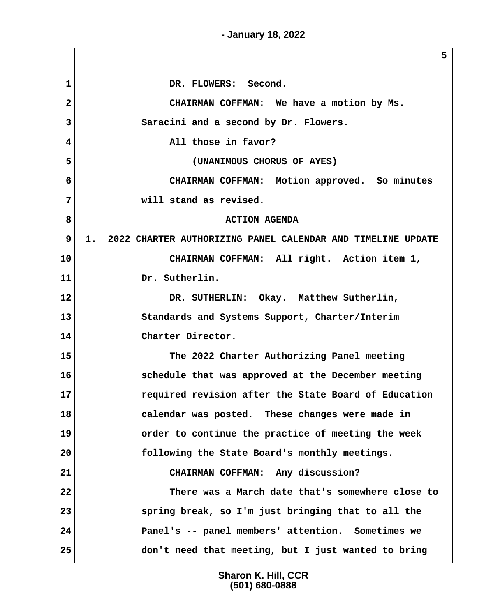**- January 18, 2022**

**5**

1 DR. FLOWERS: Second.  **2 CHAIRMAN COFFMAN: We have a motion by Ms. 3 Saracini and a second by Dr. Flowers. 4 All those in favor? 5 (UNANIMOUS CHORUS OF AYES) 6 CHAIRMAN COFFMAN: Motion approved. So minutes 7 will stand as revised. 8 B B ACTION AGENDA 9 1. 2022 CHARTER AUTHORIZING PANEL CALENDAR AND TIMELINE UPDATE 10 CHAIRMAN COFFMAN: All right. Action item 1, 11 Dr. Sutherlin. 12 DR. SUTHERLIN: Okay. Matthew Sutherlin, 13 Standards and Systems Support, Charter/Interim 14 Charter Director. 15 The 2022 Charter Authorizing Panel meeting 16 schedule that was approved at the December meeting 17 required revision after the State Board of Education 18 calendar was posted. These changes were made in 19 order to continue the practice of meeting the week 20 following the State Board's monthly meetings. 21 CHAIRMAN COFFMAN: Any discussion? 22 There was a March date that's somewhere close to 23 spring break, so I'm just bringing that to all the 24 Panel's -- panel members' attention. Sometimes we 25 don't need that meeting, but I just wanted to bring**

> **Sharon K. Hill, CCR (501) 680-0888**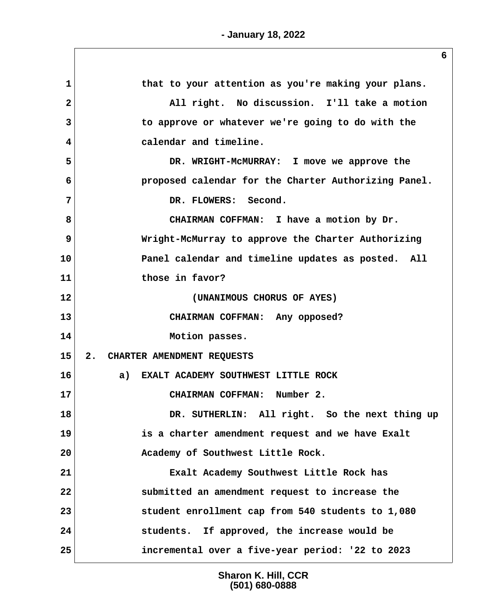**1 that to your attention as you're making your plans. 2 All right. No discussion. I'll take a motion 3 to approve or whatever we're going to do with the 4 calendar and timeline. 5 DR. WRIGHT-McMURRAY: I move we approve the 6 proposed calendar for the Charter Authorizing Panel. 7 DR. FLOWERS: Second. 8 CHAIRMAN COFFMAN: I have a motion by Dr. 9 Wright-McMurray to approve the Charter Authorizing 10 Panel calendar and timeline updates as posted. All 11 those in favor? 12 (UNANIMOUS CHORUS OF AYES) 13 CHAIRMAN COFFMAN: Any opposed? 14 Motion passes. 15 2. CHARTER AMENDMENT REQUESTS 16 a) EXALT ACADEMY SOUTHWEST LITTLE ROCK 17 CHAIRMAN COFFMAN: Number 2. 18 DR. SUTHERLIN: All right. So the next thing up 19 is a charter amendment request and we have Exalt 20 Academy of Southwest Little Rock. 21 Exalt Academy Southwest Little Rock has 22 submitted an amendment request to increase the 23 student enrollment cap from 540 students to 1,080 24 students. If approved, the increase would be 25 incremental over a five-year period: '22 to 2023**

> **Sharon K. Hill, CCR (501) 680-0888**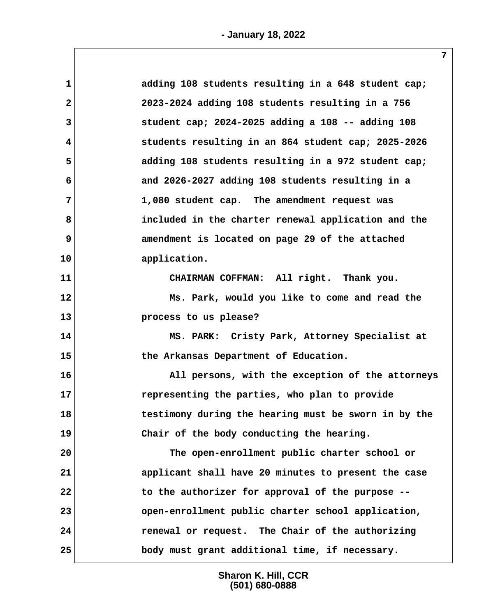| 1              | adding 108 students resulting in a 648 student cap;        |  |
|----------------|------------------------------------------------------------|--|
| $\overline{2}$ | 2023-2024 adding 108 students resulting in a 756           |  |
| 3              | student cap; $2024 - 2025$ adding a $108 - -$ adding $108$ |  |
| 4              | students resulting in an 864 student cap; 2025-2026        |  |
| 5              | adding 108 students resulting in a 972 student cap;        |  |
| 6              | and 2026-2027 adding 108 students resulting in a           |  |
| 7              | 1,080 student cap. The amendment request was               |  |
| 8              | included in the charter renewal application and the        |  |
| 9              | amendment is located on page 29 of the attached            |  |
| 10             | application.                                               |  |
| 11             | CHAIRMAN COFFMAN: All right. Thank you.                    |  |
| 12             | Ms. Park, would you like to come and read the              |  |
| 13             | process to us please?                                      |  |
| 14             | MS. PARK: Cristy Park, Attorney Specialist at              |  |
| 15             | the Arkansas Department of Education.                      |  |
| 16             | All persons, with the exception of the attorneys           |  |
| 17             | representing the parties, who plan to provide              |  |
| 18             | testimony during the hearing must be sworn in by the       |  |
| 19             | Chair of the body conducting the hearing.                  |  |
| 20             | The open-enrollment public charter school or               |  |
| 21             | applicant shall have 20 minutes to present the case        |  |
| 22             | to the authorizer for approval of the purpose --           |  |
| 23             | open-enrollment public charter school application,         |  |
| 24             | renewal or request. The Chair of the authorizing           |  |
| 25             | body must grant additional time, if necessary.             |  |
|                |                                                            |  |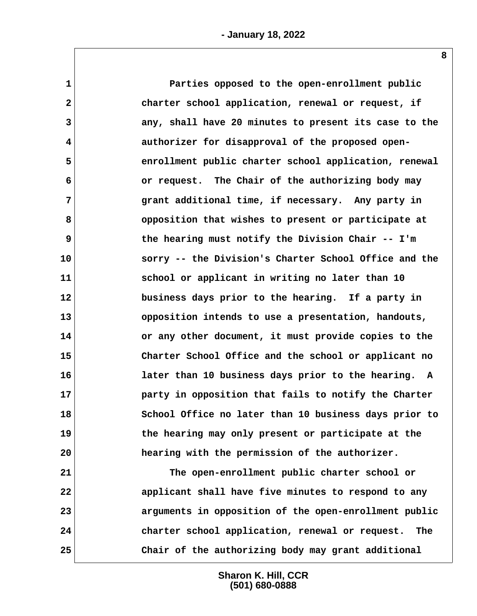**1 Parties opposed to the open-enrollment public** 2 **2 2** *charter school application, renewal or request, if*  **3 any, shall have 20 minutes to present its case to the 4 authorizer for disapproval of the proposed open- 5 enrollment public charter school application, renewal 6 or request. The Chair of the authorizing body may 7 grant additional time, if necessary. Any party in 8 opposition that wishes to present or participate at 9 the hearing must notify the Division Chair -- I'm 10 sorry -- the Division's Charter School Office and the 11 school or applicant in writing no later than 10 12 business days prior to the hearing. If a party in 13 opposition intends to use a presentation, handouts, 14 or any other document, it must provide copies to the 15 Charter School Office and the school or applicant no 16 later than 10 business days prior to the hearing. A 17 party in opposition that fails to notify the Charter 18 School Office no later than 10 business days prior to 19 the hearing may only present or participate at the 20 hearing with the permission of the authorizer. 21 The open-enrollment public charter school or 22 applicant shall have five minutes to respond to any**

**23 arguments in opposition of the open-enrollment public 24 charter school application, renewal or request. The 25 Chair of the authorizing body may grant additional**

> **Sharon K. Hill, CCR (501) 680-0888**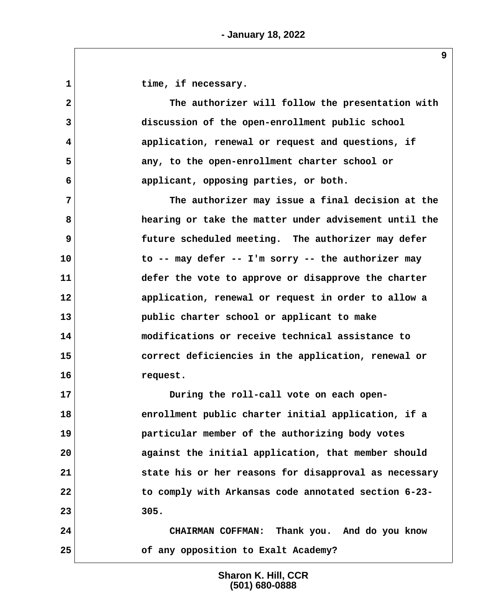1 **1** time, if necessary.

 **2 The authorizer will follow the presentation with 3 discussion of the open-enrollment public school 4 application, renewal or request and questions, if 5 any, to the open-enrollment charter school or 6 applicant, opposing parties, or both.**

 **7 The authorizer may issue a final decision at the 8 hearing or take the matter under advisement until the 9 future scheduled meeting. The authorizer may defer 10 to -- may defer -- I'm sorry -- the authorizer may 11 defer the vote to approve or disapprove the charter 12 application, renewal or request in order to allow a 13 public charter school or applicant to make 14 modifications or receive technical assistance to 15 correct deficiencies in the application, renewal or 16 request.**

**17 During the roll-call vote on each open-18 enrollment public charter initial application, if a 19 particular member of the authorizing body votes 20 against the initial application, that member should 21 state his or her reasons for disapproval as necessary 22 to comply with Arkansas code annotated section 6-23- 23 305.**

**24 CHAIRMAN COFFMAN: Thank you. And do you know 25 of any opposition to Exalt Academy?**

> **Sharon K. Hill, CCR (501) 680-0888**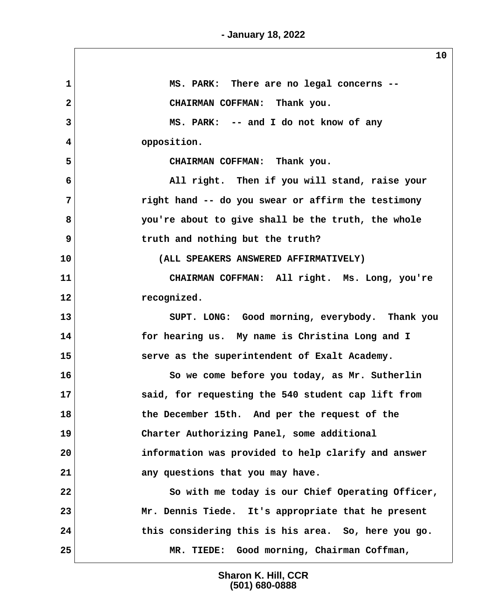$\sqrt{2}$ 

|                | ᅩ◡                                                  |
|----------------|-----------------------------------------------------|
| $\mathbf{1}$   | MS. PARK: There are no legal concerns --            |
| $\overline{2}$ | CHAIRMAN COFFMAN: Thank you.                        |
| 3              | MS. PARK: -- and I do not know of any               |
| 4              | opposition.                                         |
| 5              | CHAIRMAN COFFMAN: Thank you.                        |
| 6              | All right. Then if you will stand, raise your       |
| 7              | right hand -- do you swear or affirm the testimony  |
| 8              | you're about to give shall be the truth, the whole  |
| 9              | truth and nothing but the truth?                    |
| 10             | (ALL SPEAKERS ANSWERED AFFIRMATIVELY)               |
| 11             | CHAIRMAN COFFMAN: All right. Ms. Long, you're       |
| 12             | recognized.                                         |
| 13             | SUPT. LONG: Good morning, everybody. Thank you      |
| 14             | for hearing us. My name is Christina Long and I     |
| 15             | serve as the superintendent of Exalt Academy.       |
| 16             | So we come before you today, as Mr. Sutherlin       |
| 17             | said, for requesting the 540 student cap lift from  |
| 18             | the December 15th. And per the request of the       |
| 19             | Charter Authorizing Panel, some additional          |
| 20             | information was provided to help clarify and answer |
| 21             | any questions that you may have.                    |
| 22             | So with me today is our Chief Operating Officer,    |
| 23             | Mr. Dennis Tiede. It's appropriate that he present  |
| 24             | this considering this is his area. So, here you go. |
| 25             | MR. TIEDE: Good morning, Chairman Coffman,          |

**Sharon K. Hill, CCR (501) 680-0888**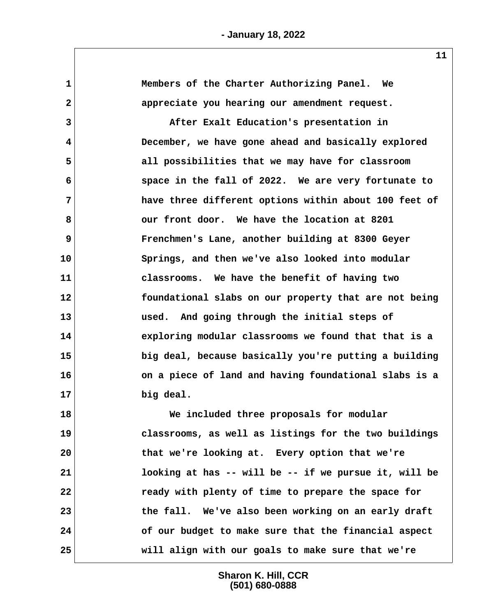| 1            | Members of the Charter Authorizing Panel. We          |
|--------------|-------------------------------------------------------|
| $\mathbf{2}$ | appreciate you hearing our amendment request.         |
| 3            | After Exalt Education's presentation in               |
| 4            | December, we have gone ahead and basically explored   |
| 5            | all possibilities that we may have for classroom      |
| 6            | space in the fall of 2022. We are very fortunate to   |
| 7            | have three different options within about 100 feet of |
| 8            | our front door. We have the location at 8201          |
| 9            | Frenchmen's Lane, another building at 8300 Geyer      |
| 10           | Springs, and then we've also looked into modular      |
| 11           | classrooms. We have the benefit of having two         |
| 12           | foundational slabs on our property that are not being |
| 13           | used. And going through the initial steps of          |
| 14           | exploring modular classrooms we found that that is a  |
| 15           | big deal, because basically you're putting a building |
| 16           | on a piece of land and having foundational slabs is a |
| 17           | big deal.                                             |
| 18           | We included three proposals for modular               |
| 19           | classrooms, as well as listings for the two buildings |
| 20           | that we're looking at. Every option that we're        |
| 21           | looking at has -- will be -- if we pursue it, will be |

**22 ready with plenty of time to prepare the space for**

**23 the fall. We've also been working on an early draft**

**24 of our budget to make sure that the financial aspect**

**25 will align with our goals to make sure that we're**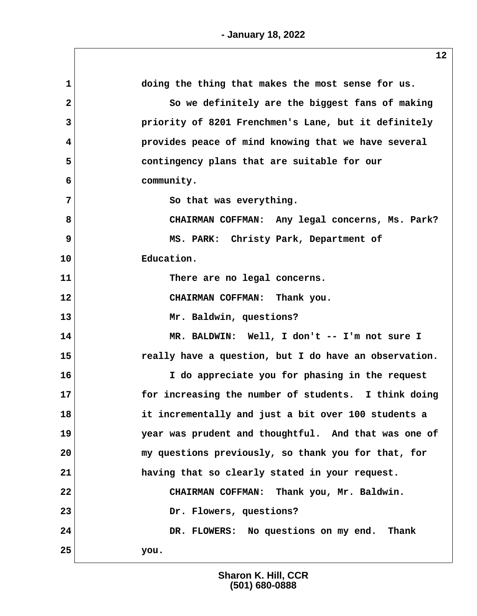| doing the thing that makes the most sense for us.     |
|-------------------------------------------------------|
| So we definitely are the biggest fans of making       |
| priority of 8201 Frenchmen's Lane, but it definitely  |
| provides peace of mind knowing that we have several   |
| contingency plans that are suitable for our           |
| community.                                            |
| So that was everything.                               |
| CHAIRMAN COFFMAN: Any legal concerns, Ms. Park?       |
| MS. PARK: Christy Park, Department of                 |
| Education.                                            |
| There are no legal concerns.                          |
| CHAIRMAN COFFMAN: Thank you.                          |
| Mr. Baldwin, questions?                               |
| MR. BALDWIN: Well, I don't -- I'm not sure I          |
| really have a question, but I do have an observation. |
| I do appreciate you for phasing in the request        |
| for increasing the number of students. I think doing  |
| it incrementally and just a bit over 100 students a   |
| year was prudent and thoughtful. And that was one of  |
| my questions previously, so thank you for that, for   |
| having that so clearly stated in your request.        |
| CHAIRMAN COFFMAN: Thank you, Mr. Baldwin.             |
| Dr. Flowers, questions?                               |
| DR. FLOWERS: No questions on my end. Thank            |
| you.                                                  |
|                                                       |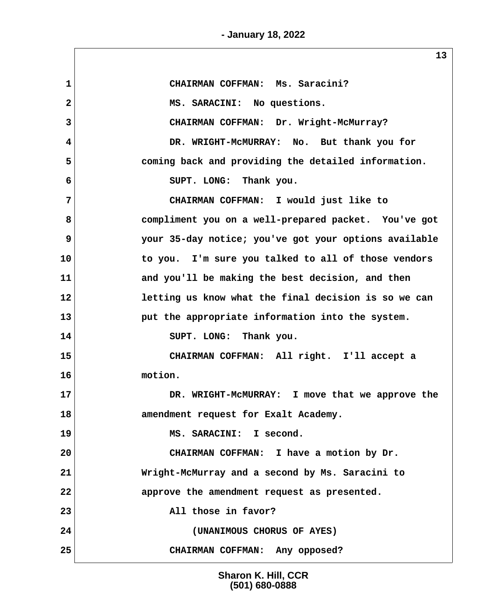**- January 18, 2022**

 **1 CHAIRMAN COFFMAN: Ms. Saracini? 2 MS. SARACINI: No questions. 3 CHAIRMAN COFFMAN: Dr. Wright-McMurray? 4 DR. WRIGHT-McMURRAY: No. But thank you for 5 coming back and providing the detailed information. 6 SUPT. LONG: Thank you. 7 CHAIRMAN COFFMAN: I would just like to 8 compliment you on a well-prepared packet. You've got 9 your 35-day notice; you've got your options available 10 to you. I'm sure you talked to all of those vendors 11 and you'll be making the best decision, and then 12 letting us know what the final decision is so we can 13 put the appropriate information into the system. 14 SUPT. LONG: Thank you. 15 CHAIRMAN COFFMAN: All right. I'll accept a 16 motion. 17 DR. WRIGHT-McMURRAY: I move that we approve the 18 amendment request for Exalt Academy. 19 MS. SARACINI: I second. 20 CHAIRMAN COFFMAN: I have a motion by Dr. 21 Wright-McMurray and a second by Ms. Saracini to 22 approve the amendment request as presented. 23 All those in favor? 24 (UNANIMOUS CHORUS OF AYES) 25 CHAIRMAN COFFMAN: Any opposed?**

> **Sharon K. Hill, CCR (501) 680-0888**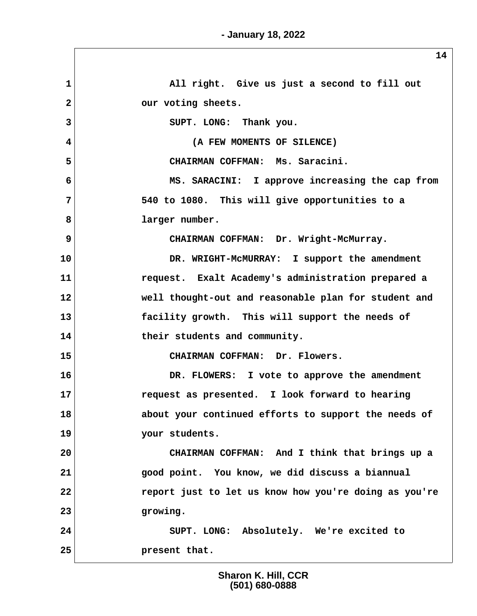| 1              | All right. Give us just a second to fill out          |
|----------------|-------------------------------------------------------|
| $\overline{2}$ | our voting sheets.                                    |
| 3              | SUPT. LONG: Thank you.                                |
| 4              | (A FEW MOMENTS OF SILENCE)                            |
| 5              | CHAIRMAN COFFMAN: Ms. Saracini.                       |
| 6              | MS. SARACINI: I approve increasing the cap from       |
| 7              | 540 to 1080. This will give opportunities to a        |
| 8              | larger number.                                        |
| 9              | CHAIRMAN COFFMAN: Dr. Wright-McMurray.                |
| 10             | DR. WRIGHT-MCMURRAY: I support the amendment          |
| 11             | request. Exalt Academy's administration prepared a    |
| 12             | well thought-out and reasonable plan for student and  |
| 13             | facility growth. This will support the needs of       |
| 14             | their students and community.                         |
| 15             | CHAIRMAN COFFMAN: Dr. Flowers.                        |
| 16             | DR. FLOWERS: I vote to approve the amendment          |
| 17             | request as presented. I look forward to hearing       |
| 18             | about your continued efforts to support the needs of  |
| 19             | your students.                                        |
| 20             | CHAIRMAN COFFMAN: And I think that brings up a        |
| 21             | good point. You know, we did discuss a biannual       |
| 22             | report just to let us know how you're doing as you're |
| 23             | growing.                                              |
| 24             | SUPT. LONG: Absolutely. We're excited to              |
| 25             | present that.                                         |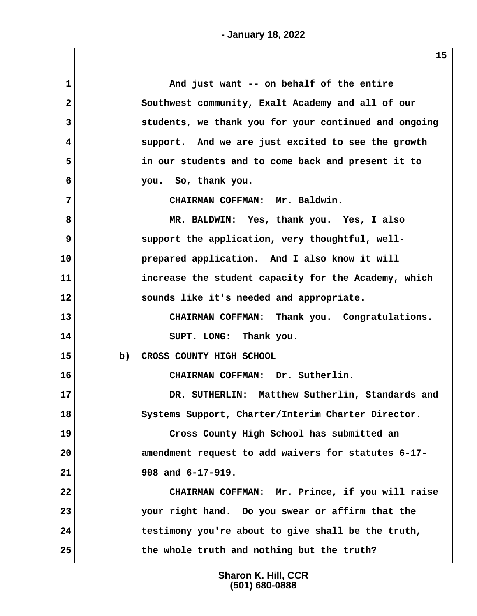| 1              | And just want -- on behalf of the entire              |
|----------------|-------------------------------------------------------|
| $\overline{2}$ | Southwest community, Exalt Academy and all of our     |
| 3              | students, we thank you for your continued and ongoing |
| 4              | support. And we are just excited to see the growth    |
| 5              | in our students and to come back and present it to    |
| 6              | you. So, thank you.                                   |
| 7              | CHAIRMAN COFFMAN: Mr. Baldwin.                        |
| 8              | MR. BALDWIN: Yes, thank you. Yes, I also              |
| 9              | support the application, very thoughtful, well-       |
| 10             | prepared application. And I also know it will         |
| 11             | increase the student capacity for the Academy, which  |
| 12             | sounds like it's needed and appropriate.              |
| 13             | CHAIRMAN COFFMAN: Thank you. Congratulations.         |
| 14             | SUPT. LONG: Thank you.                                |
| 15             | b)<br>CROSS COUNTY HIGH SCHOOL                        |
| 16             | CHAIRMAN COFFMAN: Dr. Sutherlin.                      |
| 17             | DR. SUTHERLIN: Matthew Sutherlin, Standards and       |
| 18             | Systems Support, Charter/Interim Charter Director.    |
| 19             | Cross County High School has submitted an             |
| 20             | amendment request to add waivers for statutes 6-17-   |
| 21             | 908 and 6-17-919.                                     |
| 22             | CHAIRMAN COFFMAN: Mr. Prince, if you will raise       |
| 23             | your right hand. Do you swear or affirm that the      |
| 24             | testimony you're about to give shall be the truth,    |
| 25             | the whole truth and nothing but the truth?            |
|                |                                                       |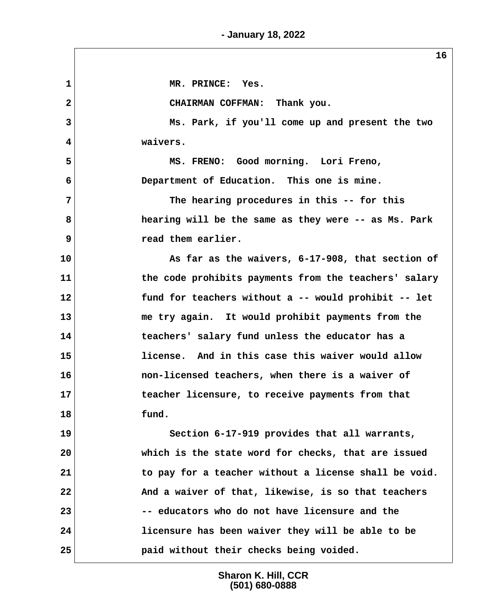| 1              | MR. PRINCE: Yes.                                      |
|----------------|-------------------------------------------------------|
| $\overline{a}$ | CHAIRMAN COFFMAN: Thank you.                          |
| $\overline{3}$ | Ms. Park, if you'll come up and present the two       |
| 4              | waivers.                                              |
| 5              | MS. FRENO: Good morning. Lori Freno,                  |
| 6              | Department of Education. This one is mine.            |
| 7              | The hearing procedures in this -- for this            |
| 8              | hearing will be the same as they were -- as Ms. Park  |
| 9              | read them earlier.                                    |
| 10             | As far as the waivers, 6-17-908, that section of      |
| 11             | the code prohibits payments from the teachers' salary |
| 12             | fund for teachers without a -- would prohibit -- let  |
| 13             | me try again. It would prohibit payments from the     |
| 14             | teachers' salary fund unless the educator has a       |
| 15             | license. And in this case this waiver would allow     |
| 16             | non-licensed teachers, when there is a waiver of      |
| 17             | teacher licensure, to receive payments from that      |
| 18             | fund.                                                 |
| 19             | Section 6-17-919 provides that all warrants,          |
| 20             | which is the state word for checks, that are issued   |
| 21             | to pay for a teacher without a license shall be void. |
| 22             | And a waiver of that, likewise, is so that teachers   |
| 23             | -- educators who do not have licensure and the        |
| 24             | licensure has been waiver they will be able to be     |
| 25             | paid without their checks being voided.               |
|                |                                                       |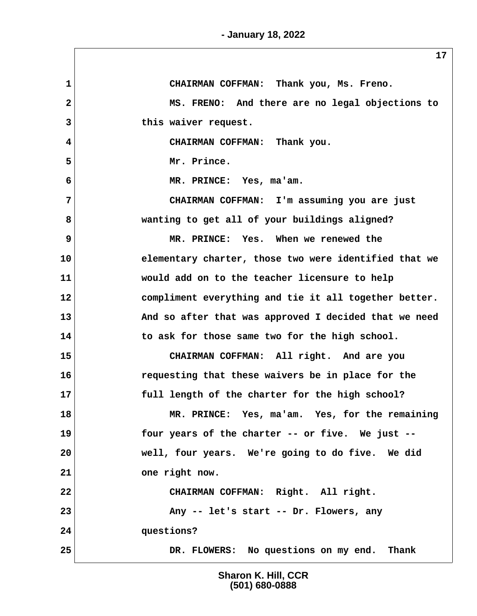**1 CHAIRMAN COFFMAN: Thank you, Ms. Freno. 2 MS. FRENO: And there are no legal objections to 3 this waiver request. 4 CHAIRMAN COFFMAN: Thank you. 5 Mr. Prince. 6 MR. PRINCE: Yes, ma'am. 7 CHAIRMAN COFFMAN: I'm assuming you are just 8 wanting to get all of your buildings aligned? 9 MR. PRINCE: Yes. When we renewed the 10 elementary charter, those two were identified that we 11 would add on to the teacher licensure to help 12 compliment everything and tie it all together better. 13 And so after that was approved I decided that we need 14 to ask for those same two for the high school. 15 CHAIRMAN COFFMAN: All right. And are you 16 requesting that these waivers be in place for the 17 full length of the charter for the high school? 18 MR. PRINCE: Yes, ma'am. Yes, for the remaining 19 four years of the charter -- or five. We just -- 20 well, four years. We're going to do five. We did 21 one right now. 22 CHAIRMAN COFFMAN: Right. All right. 23 Any -- let's start -- Dr. Flowers, any 24 questions? 25 DR. FLOWERS: No questions on my end. Thank**

> **Sharon K. Hill, CCR (501) 680-0888**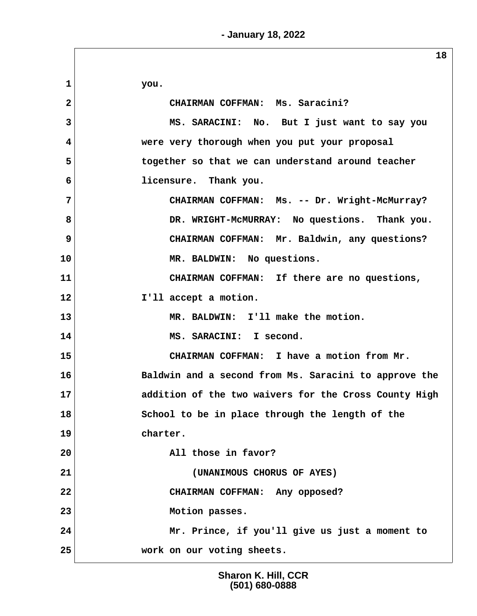|                | 18                                                    |
|----------------|-------------------------------------------------------|
| $\mathbf{1}$   | you.                                                  |
| 2              | CHAIRMAN COFFMAN: Ms. Saracini?                       |
| 3              | MS. SARACINI: No. But I just want to say you          |
| 4              | were very thorough when you put your proposal         |
| 5              | together so that we can understand around teacher     |
| 6              | licensure. Thank you.                                 |
| $\overline{7}$ | CHAIRMAN COFFMAN: Ms. -- Dr. Wright-McMurray?         |
| 8              | DR. WRIGHT-MCMURRAY: No questions. Thank you.         |
| $\overline{9}$ | CHAIRMAN COFFMAN: Mr. Baldwin, any questions?         |
| 10             | MR. BALDWIN: No questions.                            |
| 11             | CHAIRMAN COFFMAN: If there are no questions,          |
| 12             | I'll accept a motion.                                 |
| 13             | MR. BALDWIN: I'll make the motion.                    |
| 14             | MS. SARACINI: I second.                               |
| 15             | CHAIRMAN COFFMAN: I have a motion from Mr.            |
| 16             | Baldwin and a second from Ms. Saracini to approve the |
| 17             | addition of the two waivers for the Cross County High |
| 18             | School to be in place through the length of the       |
| 19             | charter.                                              |
| 20             | All those in favor?                                   |
| 21             | (UNANIMOUS CHORUS OF AYES)                            |
| 22             | CHAIRMAN COFFMAN: Any opposed?                        |
| 23             | Motion passes.                                        |
| 24             | Mr. Prince, if you'll give us just a moment to        |
| 25             | work on our voting sheets.                            |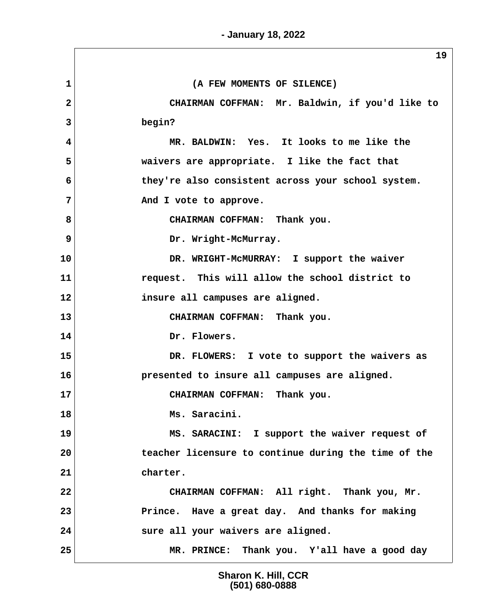|                | 19                                                   |
|----------------|------------------------------------------------------|
| $\mathbf{1}$   | (A FEW MOMENTS OF SILENCE)                           |
| $\overline{2}$ | CHAIRMAN COFFMAN: Mr. Baldwin, if you'd like to      |
| 3              | begin?                                               |
| 4              | MR. BALDWIN: Yes. It looks to me like the            |
| 5              | waivers are appropriate. I like the fact that        |
| 6              | they're also consistent across your school system.   |
| 7              | And I vote to approve.                               |
| 8              | CHAIRMAN COFFMAN: Thank you.                         |
| $\mathbf{9}$   | Dr. Wright-McMurray.                                 |
| 10             | DR. WRIGHT-MCMURRAY: I support the waiver            |
| 11             | request. This will allow the school district to      |
| 12             | insure all campuses are aligned.                     |
| 13             | CHAIRMAN COFFMAN: Thank you.                         |
| 14             | Dr. Flowers.                                         |
| 15             | DR. FLOWERS: I vote to support the waivers as        |
| 16             | presented to insure all campuses are aligned.        |
| 17             | CHAIRMAN COFFMAN: Thank you.                         |
| 18             | Ms. Saracini.                                        |
| 19             | MS. SARACINI: I support the waiver request of        |
| 20             | teacher licensure to continue during the time of the |
| 21             | charter.                                             |
| 22             | CHAIRMAN COFFMAN: All right. Thank you, Mr.          |
| 23             | Prince. Have a great day. And thanks for making      |
| 24             | sure all your waivers are aligned.                   |
| 25             | MR. PRINCE: Thank you. Y'all have a good day         |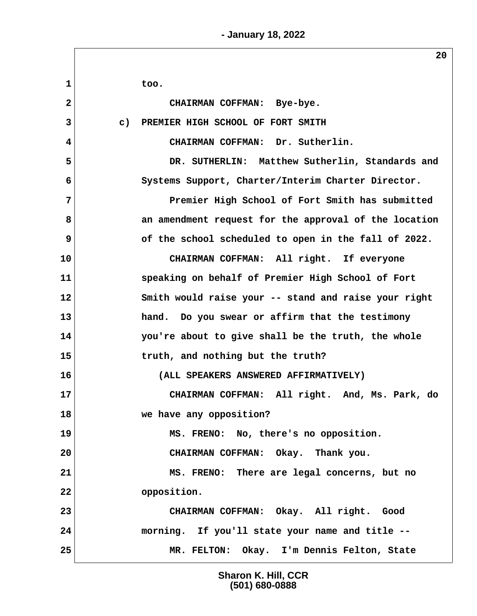**- January 18, 2022**

 **1 too. 2 CHAIRMAN COFFMAN: Bye-bye. 3 c) PREMIER HIGH SCHOOL OF FORT SMITH 4 CHAIRMAN COFFMAN: Dr. Sutherlin. 5 DR. SUTHERLIN: Matthew Sutherlin, Standards and 6 Systems Support, Charter/Interim Charter Director. 7 Premier High School of Fort Smith has submitted 8 an amendment request for the approval of the location 9** of the school scheduled to open in the fall of 2022. **10 CHAIRMAN COFFMAN: All right. If everyone 11 speaking on behalf of Premier High School of Fort 12 Smith would raise your -- stand and raise your right 13 hand. Do you swear or affirm that the testimony 14 you're about to give shall be the truth, the whole 15 truth, and nothing but the truth? 16 (ALL SPEAKERS ANSWERED AFFIRMATIVELY) 17 CHAIRMAN COFFMAN: All right. And, Ms. Park, do 18 we have any opposition? 19 MS. FRENO: No, there's no opposition. 20 CHAIRMAN COFFMAN: Okay. Thank you. 21 MS. FRENO: There are legal concerns, but no 22 opposition. 23 CHAIRMAN COFFMAN: Okay. All right. Good 24 morning. If you'll state your name and title -- 25 MR. FELTON: Okay. I'm Dennis Felton, State**

> **Sharon K. Hill, CCR (501) 680-0888**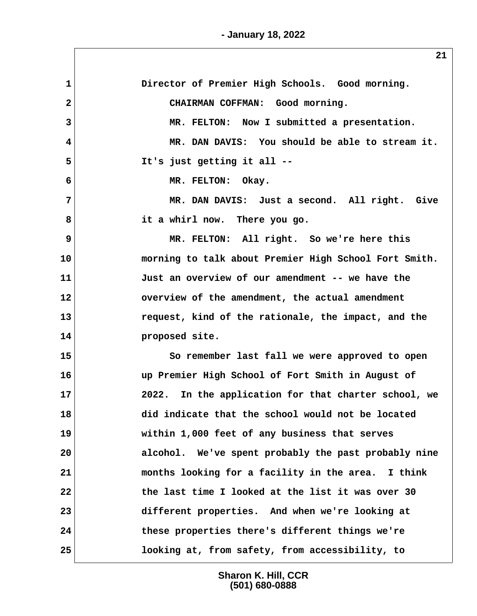**- January 18, 2022**

| 1                       | Director of Premier High Schools. Good morning.       |
|-------------------------|-------------------------------------------------------|
| $\overline{\mathbf{2}}$ | CHAIRMAN COFFMAN: Good morning.                       |
| 3                       | MR. FELTON: Now I submitted a presentation.           |
| $\overline{\mathbf{4}}$ | MR. DAN DAVIS: You should be able to stream it.       |
| 5                       | It's just getting it all --                           |
| 6                       | MR. FELTON: Okay.                                     |
| 7                       | MR. DAN DAVIS: Just a second. All right. Give         |
| 8                       | it a whirl now. There you go.                         |
| 9                       | MR. FELTON: All right. So we're here this             |
| 10                      | morning to talk about Premier High School Fort Smith. |
| 11                      | Just an overview of our amendment -- we have the      |
| 12                      | overview of the amendment, the actual amendment       |
| 13                      | request, kind of the rationale, the impact, and the   |
| 14                      | proposed site.                                        |
| 15                      | So remember last fall we were approved to open        |
| 16                      | up Premier High School of Fort Smith in August of     |
| 17                      | 2022. In the application for that charter school, we  |
| 18                      | did indicate that the school would not be located     |
| 19                      | within 1,000 feet of any business that serves         |
| 20                      | alcohol. We've spent probably the past probably nine  |
| 21                      | months looking for a facility in the area. I think    |
| 22                      | the last time I looked at the list it was over 30     |
| 23                      | different properties. And when we're looking at       |
| 24                      | these properties there's different things we're       |
| 25                      | looking at, from safety, from accessibility, to       |

**Sharon K. Hill, CCR (501) 680-0888**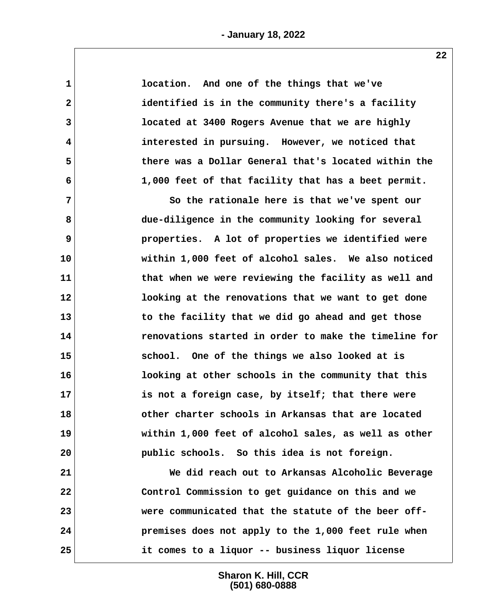| $\mathbf 1$  | location. And one of the things that we've            |  |
|--------------|-------------------------------------------------------|--|
| $\mathbf{2}$ | identified is in the community there's a facility     |  |
| 3            | located at 3400 Rogers Avenue that we are highly      |  |
| 4            | interested in pursuing. However, we noticed that      |  |
| 5            | there was a Dollar General that's located within the  |  |
| 6            | 1,000 feet of that facility that has a beet permit.   |  |
| 7            | So the rationale here is that we've spent our         |  |
| 8            | due-diligence in the community looking for several    |  |
| 9            | properties. A lot of properties we identified were    |  |
| 10           | within 1,000 feet of alcohol sales. We also noticed   |  |
| 11           | that when we were reviewing the facility as well and  |  |
| 12           | looking at the renovations that we want to get done   |  |
| 13           | to the facility that we did go ahead and get those    |  |
| 14           | renovations started in order to make the timeline for |  |
| 15           | school. One of the things we also looked at is        |  |
| 16           | looking at other schools in the community that this   |  |
| 17           | is not a foreign case, by itself; that there were     |  |
| 18           | other charter schools in Arkansas that are located    |  |
| 19           | within 1,000 feet of alcohol sales, as well as other  |  |
| 20           | public schools. So this idea is not foreign.          |  |
| 21           | We did reach out to Arkansas Alcoholic Beverage       |  |
| 22           | Control Commission to get guidance on this and we     |  |
| 23           | were communicated that the statute of the beer off-   |  |
| 24           | premises does not apply to the 1,000 feet rule when   |  |
| 25           | it comes to a liquor -- business liquor license       |  |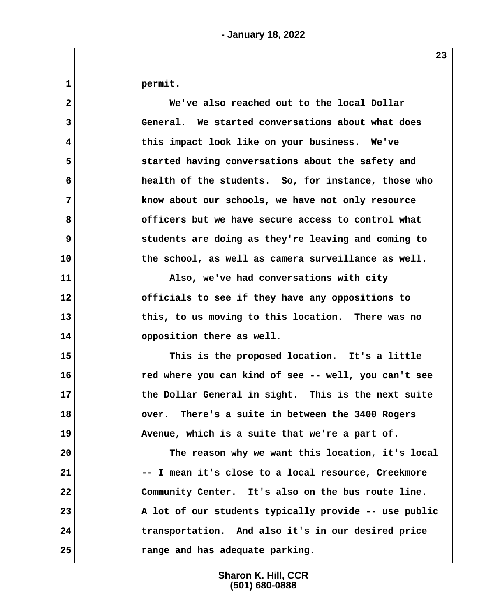**1 permit.**

 **2 We've also reached out to the local Dollar 3 General. We started conversations about what does 4 this impact look like on your business. We've 5 started having conversations about the safety and 6 health of the students. So, for instance, those who 7 know about our schools, we have not only resource 8 officers but we have secure access to control what 9 students are doing as they're leaving and coming to 10 the school, as well as camera surveillance as well. 11 Also, we've had conversations with city 12 officials to see if they have any oppositions to 13 this, to us moving to this location. There was no**

**14 opposition there as well.**

**15 This is the proposed location. It's a little 16 red where you can kind of see -- well, you can't see 17 the Dollar General in sight. This is the next suite 18 over. There's a suite in between the 3400 Rogers 19 Avenue, which is a suite that we're a part of.**

**20 The reason why we want this location, it's local 21 -- I mean it's close to a local resource, Creekmore 22 Community Center. It's also on the bus route line. 23 A lot of our students typically provide -- use public 24 transportation. And also it's in our desired price 25 range and has adequate parking.**

> **Sharon K. Hill, CCR (501) 680-0888**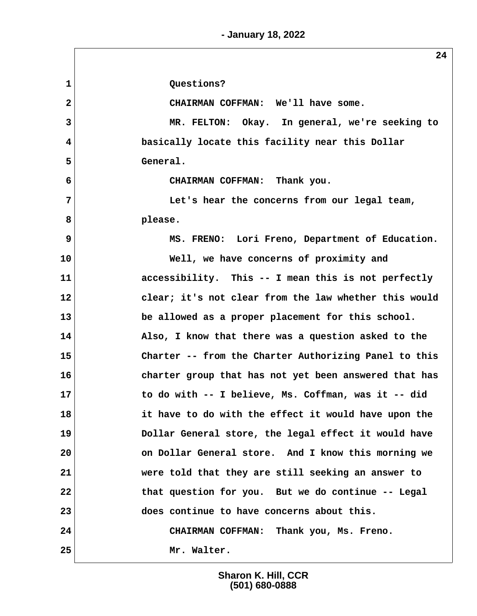**- January 18, 2022**

1 Questions?  **2 CHAIRMAN COFFMAN: We'll have some. 3 MR. FELTON: Okay. In general, we're seeking to 4 basically locate this facility near this Dollar 5 General. 6 CHAIRMAN COFFMAN: Thank you. 7 Let's hear the concerns from our legal team, 8 please. 9** MS. FRENO: Lori Freno, Department of Education. **10 Well, we have concerns of proximity and 11 accessibility. This -- I mean this is not perfectly 12 clear; it's not clear from the law whether this would 13 be allowed as a proper placement for this school.** 14 Also, I know that there was a question asked to the **15 Charter -- from the Charter Authorizing Panel to this 16 charter group that has not yet been answered that has 17 to do with -- I believe, Ms. Coffman, was it -- did 18 it have to do with the effect it would have upon the 19 Dollar General store, the legal effect it would have 20 on Dollar General store. And I know this morning we 21 were told that they are still seeking an answer to 22 that question for you. But we do continue -- Legal 23 does continue to have concerns about this. 24 CHAIRMAN COFFMAN: Thank you, Ms. Freno. 25 Mr. Walter.**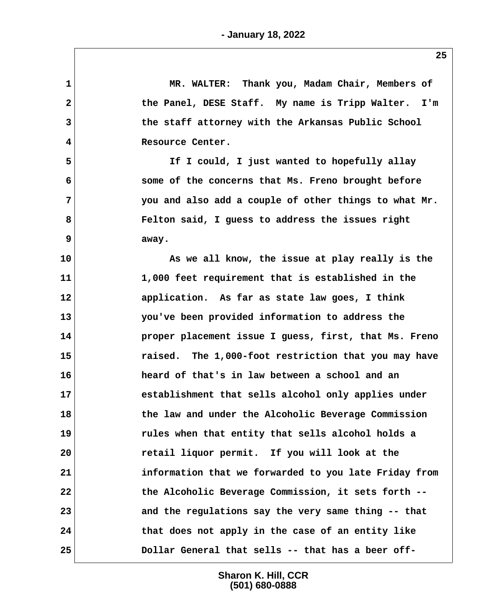| $\mathbf 1$             | MR. WALTER: Thank you, Madam Chair, Members of        |
|-------------------------|-------------------------------------------------------|
| 2                       | the Panel, DESE Staff. My name is Tripp Walter. I'm   |
| 3                       | the staff attorney with the Arkansas Public School    |
| $\overline{\mathbf{4}}$ | Resource Center.                                      |
| 5                       | If I could, I just wanted to hopefully allay          |
| 6                       | some of the concerns that Ms. Freno brought before    |
| 7                       | you and also add a couple of other things to what Mr. |
| 8                       | Felton said, I guess to address the issues right      |
| 9                       | away.                                                 |
| 10                      | As we all know, the issue at play really is the       |
| 11                      | 1,000 feet requirement that is established in the     |
| 12                      | application. As far as state law goes, I think        |
| 13                      | you've been provided information to address the       |
| 14                      | proper placement issue I guess, first, that Ms. Freno |
| 15                      | raised. The 1,000-foot restriction that you may have  |
| 16                      | heard of that's in law between a school and an        |
| 17                      | establishment that sells alcohol only applies under   |
| 18                      | the law and under the Alcoholic Beverage Commission   |
| 19                      | rules when that entity that sells alcohol holds a     |
| 20                      | retail liquor permit. If you will look at the         |
| 21                      | information that we forwarded to you late Friday from |
| 22                      | the Alcoholic Beverage Commission, it sets forth --   |
| 23                      | and the regulations say the very same thing -- that   |
| 24                      | that does not apply in the case of an entity like     |
| 25                      | Dollar General that sells -- that has a beer off-     |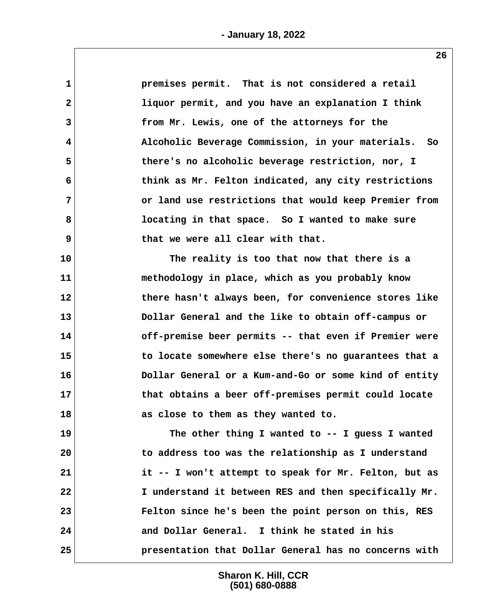| $\mathbf{1}$ | premises permit. That is not considered a retail      |
|--------------|-------------------------------------------------------|
| $\mathbf{2}$ | liquor permit, and you have an explanation I think    |
| 3            | from Mr. Lewis, one of the attorneys for the          |
| 4            | Alcoholic Beverage Commission, in your materials. So  |
| 5            | there's no alcoholic beverage restriction, nor, I     |
| 6            | think as Mr. Felton indicated, any city restrictions  |
| 7            | or land use restrictions that would keep Premier from |
| 8            | locating in that space. So I wanted to make sure      |
| 9            | that we were all clear with that.                     |
| 10           | The reality is too that now that there is a           |
| 11           | methodology in place, which as you probably know      |
| 12           | there hasn't always been, for convenience stores like |
| 13           | Dollar General and the like to obtain off-campus or   |
| 14           | off-premise beer permits -- that even if Premier were |
| 15           | to locate somewhere else there's no guarantees that a |
| 16           | Dollar General or a Kum-and-Go or some kind of entity |
| 17           | that obtains a beer off-premises permit could locate  |
| 18           | as close to them as they wanted to.                   |
| 19           | The other thing I wanted to -- I guess I wanted       |
| 20           | to address too was the relationship as I understand   |
| 21           | it -- I won't attempt to speak for Mr. Felton, but as |
| 22           | I understand it between RES and then specifically Mr. |
| 23           | Felton since he's been the point person on this, RES  |
| 24           | and Dollar General. I think he stated in his          |
| 25           | presentation that Dollar General has no concerns with |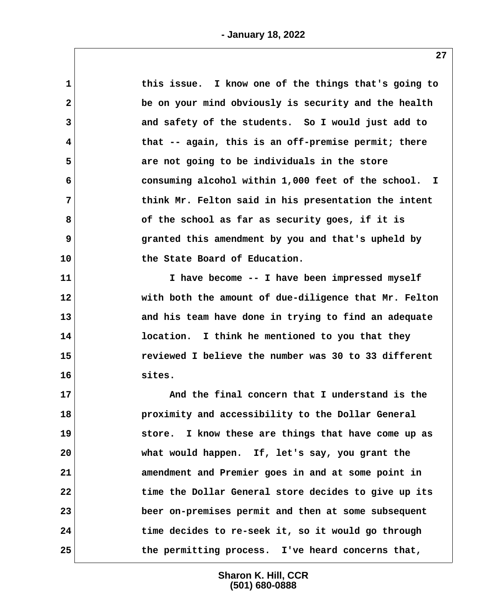| this issue. I know one of the things that's going to  |
|-------------------------------------------------------|
| be on your mind obviously is security and the health  |
| and safety of the students. So I would just add to    |
| that -- again, this is an off-premise permit; there   |
| are not going to be individuals in the store          |
| consuming alcohol within 1,000 feet of the school. I  |
| think Mr. Felton said in his presentation the intent  |
| of the school as far as security goes, if it is       |
| granted this amendment by you and that's upheld by    |
| the State Board of Education.                         |
| I have become -- I have been impressed myself         |
| with both the amount of due-diligence that Mr. Felton |
| and his team have done in trying to find an adequate  |
| location. I think he mentioned to you that they       |
| reviewed I believe the number was 30 to 33 different  |
| sites.                                                |
| And the final concern that I understand is the        |
| proximity and accessibility to the Dollar General     |
| store. I know these are things that have come up as   |
| what would happen. If, let's say, you grant the       |
| amendment and Premier goes in and at some point in    |
| time the Dollar General store decides to give up its  |
| beer on-premises permit and then at some subsequent   |
| time decides to re-seek it, so it would go through    |
| the permitting process. I've heard concerns that,     |
|                                                       |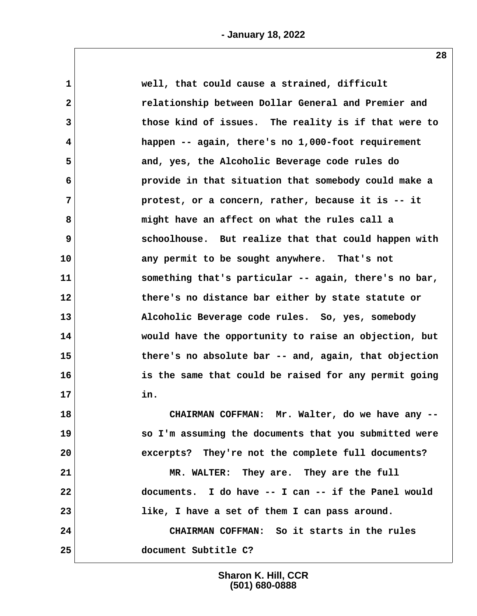| $\mathbf 1$  | well, that could cause a strained, difficult          |  |
|--------------|-------------------------------------------------------|--|
| $\mathbf{2}$ | relationship between Dollar General and Premier and   |  |
| 3            | those kind of issues. The reality is if that were to  |  |
| 4            | happen -- again, there's no 1,000-foot requirement    |  |
| 5            | and, yes, the Alcoholic Beverage code rules do        |  |
| 6            | provide in that situation that somebody could make a  |  |
| 7            | protest, or a concern, rather, because it is -- it    |  |
| 8            | might have an affect on what the rules call a         |  |
| 9            | schoolhouse. But realize that that could happen with  |  |
| 10           | any permit to be sought anywhere. That's not          |  |
| 11           | something that's particular -- again, there's no bar, |  |
| 12           | there's no distance bar either by state statute or    |  |
| 13           | Alcoholic Beverage code rules. So, yes, somebody      |  |
| 14           | would have the opportunity to raise an objection, but |  |
| 15           | there's no absolute bar -- and, again, that objection |  |
| 16           | is the same that could be raised for any permit going |  |
| 17           | in.                                                   |  |
| 18           | CHAIRMAN COFFMAN: Mr. Walter, do we have any --       |  |
| 19           | so I'm assuming the documents that you submitted were |  |
| 20           | excerpts? They're not the complete full documents?    |  |
| 21           | MR. WALTER: They are. They are the full               |  |
| 22           | documents. I do have -- I can -- if the Panel would   |  |
| 23           | like, I have a set of them I can pass around.         |  |
| 24           | CHAIRMAN COFFMAN: So it starts in the rules           |  |
| 25           | document Subtitle C?                                  |  |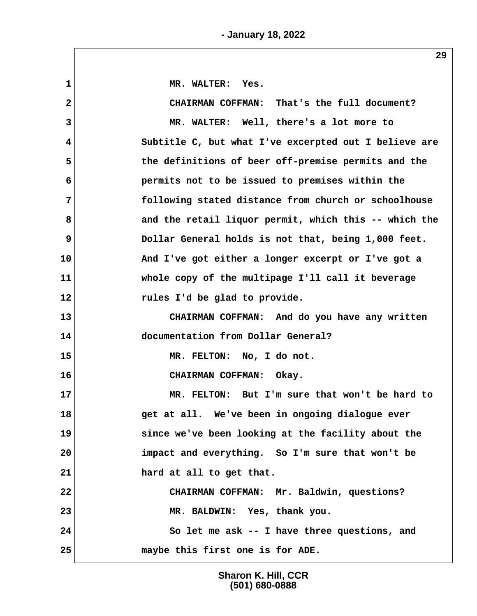1 MR. WALTER: Yes.  **2 CHAIRMAN COFFMAN: That's the full document? 3 MR. WALTER: Well, there's a lot more to 4 Subtitle C, but what I've excerpted out I believe are 5 the definitions of beer off-premise permits and the 6 permits not to be issued to premises within the 7 following stated distance from church or schoolhouse 8 and the retail liquor permit, which this -- which the 9 Dollar General holds is not that, being 1,000 feet. 10 And I've got either a longer excerpt or I've got a 11 whole copy of the multipage I'll call it beverage 12 rules I'd be glad to provide. 13 CHAIRMAN COFFMAN: And do you have any written 14 documentation from Dollar General? 15 MR. FELTON: No, I do not. 16 CHAIRMAN COFFMAN: Okay. 17 MR. FELTON: But I'm sure that won't be hard to 18 get at all. We've been in ongoing dialogue ever 19 since we've been looking at the facility about the 20 impact and everything. So I'm sure that won't be 21 hard at all to get that. 22 CHAIRMAN COFFMAN: Mr. Baldwin, questions? 23 MR. BALDWIN: Yes, thank you. 24 So let me ask -- I have three questions, and 25 maybe this first one is for ADE.**

> **Sharon K. Hill, CCR (501) 680-0888**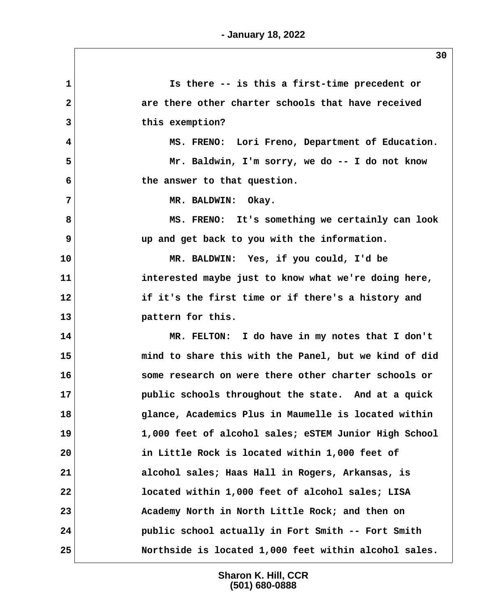**1 Is there -- is this a first-time precedent or 2 are there other charter schools that have received 3 this exemption? 4 MS. FRENO: Lori Freno, Department of Education. 5 Mr. Baldwin, I'm sorry, we do -- I do not know 6 the answer to that question. 7 MR. BALDWIN: Okay. 8 MS. FRENO: It's something we certainly can look 9 up and get back to you with the information. 10 MR. BALDWIN: Yes, if you could, I'd be 11 interested maybe just to know what we're doing here, 12 if it's the first time or if there's a history and 13 pattern for this. 14 MR. FELTON: I do have in my notes that I don't 15 mind to share this with the Panel, but we kind of did 16 some research on were there other charter schools or 17 public schools throughout the state. And at a quick 18 glance, Academics Plus in Maumelle is located within 19 1,000 feet of alcohol sales; eSTEM Junior High School 20 in Little Rock is located within 1,000 feet of 21 alcohol sales; Haas Hall in Rogers, Arkansas, is 22 located within 1,000 feet of alcohol sales; LISA 23 Academy North in North Little Rock; and then on 24 public school actually in Fort Smith -- Fort Smith 25 Northside is located 1,000 feet within alcohol sales.**

> **Sharon K. Hill, CCR (501) 680-0888**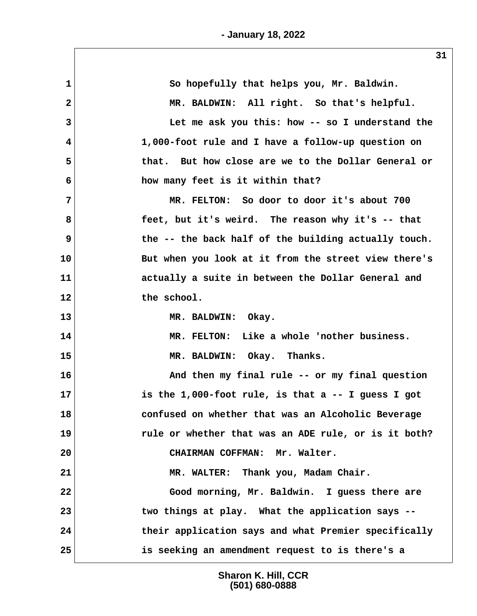| 1            | So hopefully that helps you, Mr. Baldwin.            |
|--------------|------------------------------------------------------|
| $\mathbf{2}$ | MR. BALDWIN: All right. So that's helpful.           |
| 3            | Let me ask you this: how -- so I understand the      |
| 4            | 1,000-foot rule and I have a follow-up question on   |
| 5            | that. But how close are we to the Dollar General or  |
| 6            | how many feet is it within that?                     |
| 7            | MR. FELTON: So door to door it's about 700           |
| 8            | feet, but it's weird. The reason why it's -- that    |
| 9            | the -- the back half of the building actually touch. |
| 10           | But when you look at it from the street view there's |
| 11           | actually a suite in between the Dollar General and   |
| 12           | the school.                                          |
| 13           | MR. BALDWIN: Okay.                                   |
| 14           | MR. FELTON: Like a whole 'nother business.           |
| 15           | MR. BALDWIN: Okay. Thanks.                           |
| 16           | And then my final rule -- or my final question       |
| 17           | is the 1,000-foot rule, is that a $-$ I guess I got  |
| 18           | confused on whether that was an Alcoholic Beverage   |
| 19           | rule or whether that was an ADE rule, or is it both? |
| 20           | CHAIRMAN COFFMAN: Mr. Walter.                        |
| 21           | MR. WALTER: Thank you, Madam Chair.                  |
| 22           | Good morning, Mr. Baldwin. I guess there are         |
| 23           | two things at play. What the application says --     |
| 24           | their application says and what Premier specifically |
| 25           | is seeking an amendment request to is there's a      |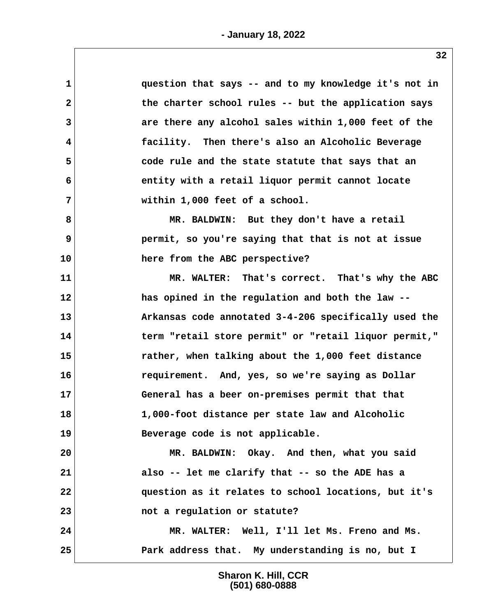| 1            | question that says -- and to my knowledge it's not in |
|--------------|-------------------------------------------------------|
| $\mathbf{2}$ | the charter school rules -- but the application says  |
| 3            | are there any alcohol sales within 1,000 feet of the  |
| 4            | facility. Then there's also an Alcoholic Beverage     |
| 5            | code rule and the state statute that says that an     |
| 6            | entity with a retail liquor permit cannot locate      |
| 7            | within 1,000 feet of a school.                        |
| 8            | MR. BALDWIN: But they don't have a retail             |
| 9            | permit, so you're saying that that is not at issue    |
| 10           | here from the ABC perspective?                        |
| 11           | MR. WALTER: That's correct. That's why the ABC        |
| 12           | has opined in the regulation and both the law --      |
| 13           | Arkansas code annotated 3-4-206 specifically used the |
| 14           | term "retail store permit" or "retail liquor permit," |
| 15           | rather, when talking about the 1,000 feet distance    |
| 16           | requirement. And, yes, so we're saying as Dollar      |
| 17           | General has a beer on-premises permit that that       |
| 18           | 1,000-foot distance per state law and Alcoholic       |
| 19           | Beverage code is not applicable.                      |
| 20           | MR. BALDWIN: Okay. And then, what you said            |
| 21           | also -- let me clarify that -- so the ADE has a       |
| 22           | question as it relates to school locations, but it's  |
| 23           | not a regulation or statute?                          |
| 24           | MR. WALTER: Well, I'll let Ms. Freno and Ms.          |
| 25           | Park address that. My understanding is no, but I      |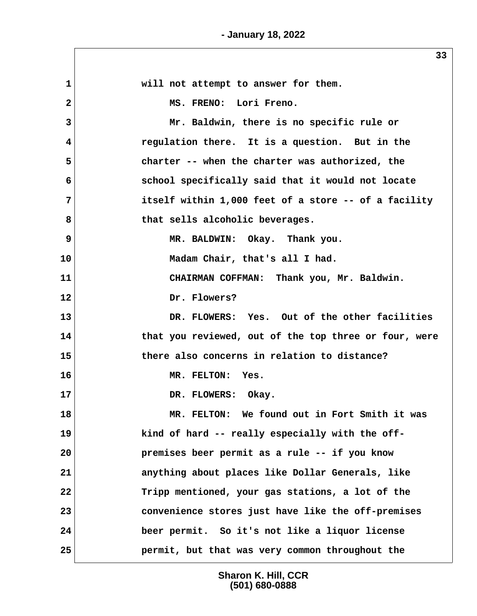$\sqrt{2}$ 

|              | 33                                                    |
|--------------|-------------------------------------------------------|
| $\mathbf{1}$ | will not attempt to answer for them.                  |
| $\mathbf{2}$ | MS. FRENO: Lori Freno.                                |
| 3            | Mr. Baldwin, there is no specific rule or             |
| 4            | regulation there. It is a question. But in the        |
| 5            | charter -- when the charter was authorized, the       |
| 6            | school specifically said that it would not locate     |
| 7            | itself within 1,000 feet of a store -- of a facility  |
| 8            | that sells alcoholic beverages.                       |
| 9            | MR. BALDWIN: Okay. Thank you.                         |
| 10           | Madam Chair, that's all I had.                        |
| 11           | CHAIRMAN COFFMAN: Thank you, Mr. Baldwin.             |
| 12           | Dr. Flowers?                                          |
| 13           | DR. FLOWERS: Yes. Out of the other facilities         |
| 14           | that you reviewed, out of the top three or four, were |
| 15           | there also concerns in relation to distance?          |
| 16           | MR. FELTON: Yes.                                      |
| 17           | DR. FLOWERS:<br>Okay.                                 |
| 18           | MR. FELTON: We found out in Fort Smith it was         |
| 19           | kind of hard -- really especially with the off-       |
| 20           | premises beer permit as a rule -- if you know         |
| 21           | anything about places like Dollar Generals, like      |
| 22           | Tripp mentioned, your gas stations, a lot of the      |
| 23           | convenience stores just have like the off-premises    |
| 24           | beer permit. So it's not like a liquor license        |
| 25           | permit, but that was very common throughout the       |

**Sharon K. Hill, CCR (501) 680-0888**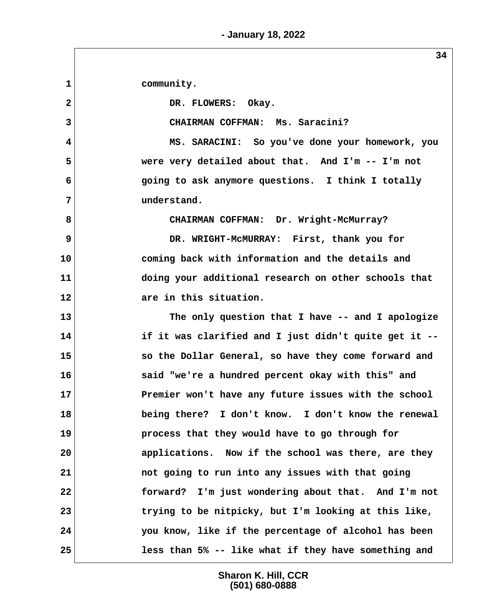**1 community.** 2 DR. FLOWERS: Okay.  **3 CHAIRMAN COFFMAN: Ms. Saracini? 4 MS. SARACINI: So you've done your homework, you 5 were very detailed about that. And I'm -- I'm not 6 going to ask anymore questions. I think I totally 7 understand. 8 CHAIRMAN COFFMAN: Dr. Wright-McMurray? 9** DR. WRIGHT-MCMURRAY: First, thank you for **10 coming back with information and the details and 11 doing your additional research on other schools that 12 are in this situation. 13 The only question that I have -- and I apologize 14 if it was clarified and I just didn't quite get it -- 15 so the Dollar General, so have they come forward and 16 said "we're a hundred percent okay with this" and 17 Premier won't have any future issues with the school 18 being there? I don't know. I don't know the renewal 19 process that they would have to go through for 20 applications. Now if the school was there, are they 21 not going to run into any issues with that going 22 forward? I'm just wondering about that. And I'm not 23 trying to be nitpicky, but I'm looking at this like, 24 you know, like if the percentage of alcohol has been 25 less than 5% -- like what if they have something and**

> **Sharon K. Hill, CCR (501) 680-0888**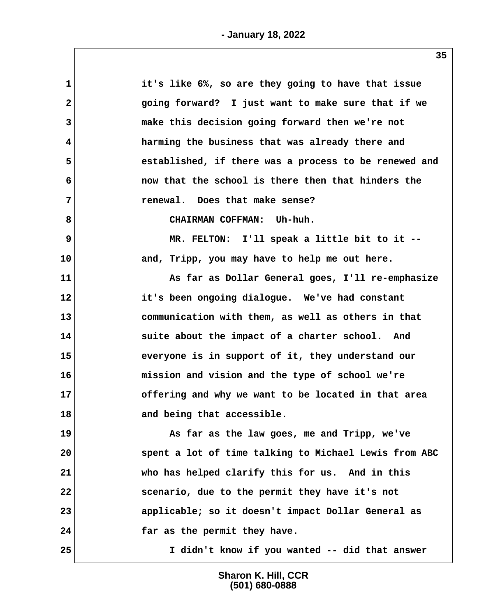| it's like 6%, so are they going to have that issue    |
|-------------------------------------------------------|
| going forward? I just want to make sure that if we    |
| make this decision going forward then we're not       |
| harming the business that was already there and       |
| established, if there was a process to be renewed and |
| now that the school is there then that hinders the    |
| renewal. Does that make sense?                        |
| CHAIRMAN COFFMAN: Uh-huh.                             |
| MR. FELTON: I'll speak a little bit to it --          |
| and, Tripp, you may have to help me out here.         |
| As far as Dollar General goes, I'll re-emphasize      |
| it's been ongoing dialogue. We've had constant        |
| communication with them, as well as others in that    |
| suite about the impact of a charter school. And       |
| everyone is in support of it, they understand our     |
| mission and vision and the type of school we're       |
| offering and why we want to be located in that area   |
| and being that accessible.                            |
| As far as the law goes, me and Tripp, we've           |
| spent a lot of time talking to Michael Lewis from ABC |
| who has helped clarify this for us. And in this       |
| scenario, due to the permit they have it's not        |
| applicable; so it doesn't impact Dollar General as    |
| far as the permit they have.                          |
| I didn't know if you wanted -- did that answer        |
|                                                       |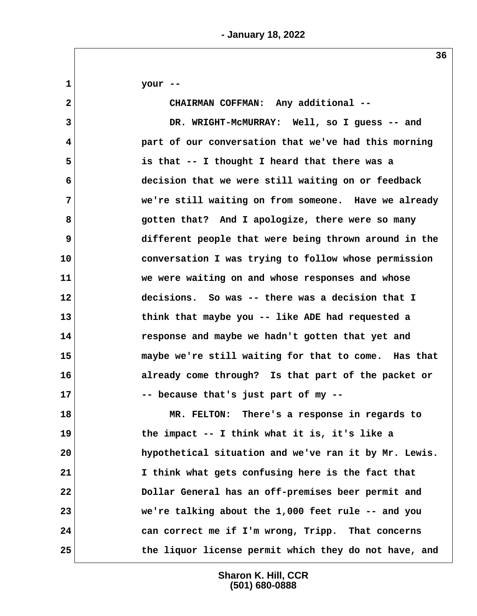**1 your -- 2 CHAIRMAN COFFMAN: Any additional -- 3 DR. WRIGHT-McMURRAY: Well, so I guess -- and 4 part of our conversation that we've had this morning 5 is that -- I thought I heard that there was a 6 decision that we were still waiting on or feedback 7 we're still waiting on from someone. Have we already 8 gotten that? And I apologize, there were so many 9 different people that were being thrown around in the 10 conversation I was trying to follow whose permission 11 we were waiting on and whose responses and whose 12 decisions. So was -- there was a decision that I 13 think that maybe you -- like ADE had requested a 14 response and maybe we hadn't gotten that yet and 15 maybe we're still waiting for that to come. Has that 16 already come through? Is that part of the packet or 17 -- because that's just part of my -- 18 MR. FELTON: There's a response in regards to 19 the impact -- I think what it is, it's like a 20 hypothetical situation and we've ran it by Mr. Lewis. 21 I think what gets confusing here is the fact that 22 Dollar General has an off-premises beer permit and 23 we're talking about the 1,000 feet rule -- and you 24 can correct me if I'm wrong, Tripp. That concerns 25 the liquor license permit which they do not have, and**

> **Sharon K. Hill, CCR (501) 680-0888**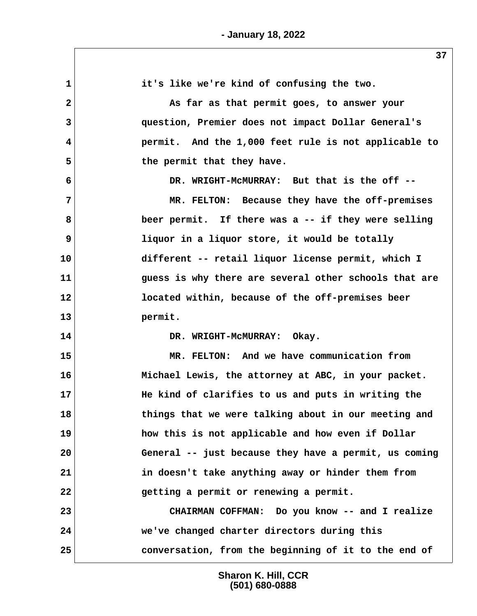| 1              | it's like we're kind of confusing the two.            |
|----------------|-------------------------------------------------------|
| $\overline{2}$ | As far as that permit goes, to answer your            |
| 3              | question, Premier does not impact Dollar General's    |
| 4              | permit. And the 1,000 feet rule is not applicable to  |
| 5              | the permit that they have.                            |
| 6              | DR. WRIGHT-MCMURRAY: But that is the off --           |
| $\overline{7}$ | MR. FELTON: Because they have the off-premises        |
| 8              | beer permit. If there was a -- if they were selling   |
| 9              | liquor in a liquor store, it would be totally         |
| 10             | different -- retail liquor license permit, which I    |
| 11             | guess is why there are several other schools that are |
| 12             | located within, because of the off-premises beer      |
| 13             | permit.                                               |
| 14             | DR. WRIGHT-MCMURRAY: Okay.                            |
| 15             | MR. FELTON: And we have communication from            |
| 16             | Michael Lewis, the attorney at ABC, in your packet.   |
| 17             | He kind of clarifies to us and puts in writing the    |
| 18             | things that we were talking about in our meeting and  |
| 19             | how this is not applicable and how even if Dollar     |
| 20             | General -- just because they have a permit, us coming |
| 21             | in doesn't take anything away or hinder them from     |
| 22             | getting a permit or renewing a permit.                |
| 23             | CHAIRMAN COFFMAN: Do you know -- and I realize        |
| 24             | we've changed charter directors during this           |
| 25             | conversation, from the beginning of it to the end of  |
|                |                                                       |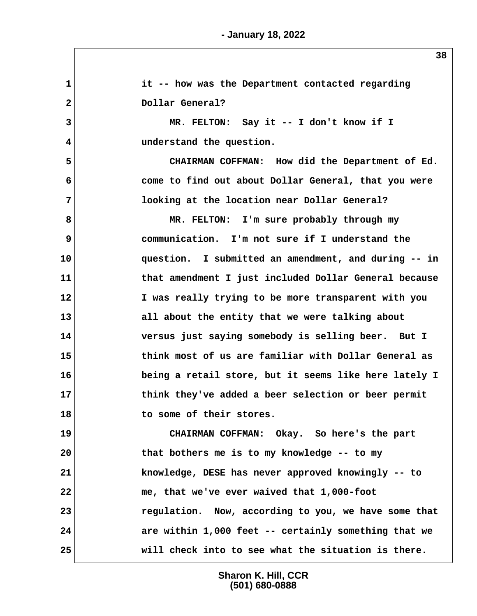**1 it -- how was the Department contacted regarding** 2 Dollar General?  **3 MR. FELTON: Say it -- I don't know if I 4 understand the question. 5 CHAIRMAN COFFMAN: How did the Department of Ed. 6 come to find out about Dollar General, that you were 7 looking at the location near Dollar General? 8 MR. FELTON: I'm sure probably through my 9 communication. I'm not sure if I understand the 10 question. I submitted an amendment, and during -- in 11 that amendment I just included Dollar General because 12 I was really trying to be more transparent with you 13 all about the entity that we were talking about 14 versus just saying somebody is selling beer. But I 15 think most of us are familiar with Dollar General as 16 being a retail store, but it seems like here lately I 17 think they've added a beer selection or beer permit 18 to some of their stores. 19 CHAIRMAN COFFMAN: Okay. So here's the part 20 that bothers me is to my knowledge -- to my 21 knowledge, DESE has never approved knowingly -- to 22 me, that we've ever waived that 1,000-foot 23 regulation. Now, according to you, we have some that 24 are within 1,000 feet -- certainly something that we 25 will check into to see what the situation is there.**

> **Sharon K. Hill, CCR (501) 680-0888**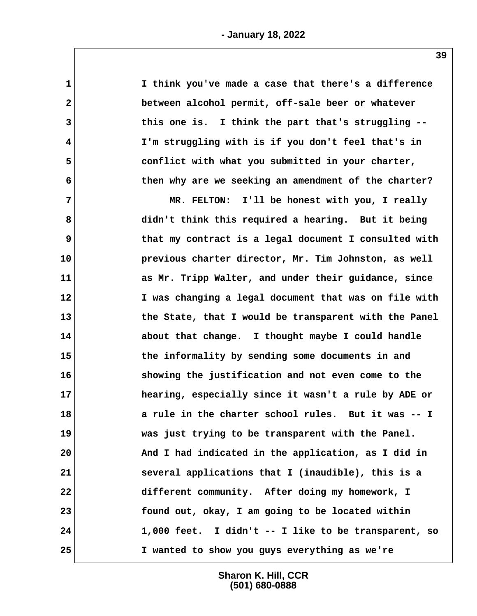| $\mathbf 1$    | I think you've made a case that there's a difference  |
|----------------|-------------------------------------------------------|
| $\mathbf{2}$   | between alcohol permit, off-sale beer or whatever     |
| $\overline{3}$ | this one is. I think the part that's struggling --    |
| 4              | I'm struggling with is if you don't feel that's in    |
| 5              | conflict with what you submitted in your charter,     |
| 6              | then why are we seeking an amendment of the charter?  |
| $\overline{7}$ | MR. FELTON: I'll be honest with you, I really         |
| 8              | didn't think this required a hearing. But it being    |
| 9              | that my contract is a legal document I consulted with |
| 10             | previous charter director, Mr. Tim Johnston, as well  |
| 11             | as Mr. Tripp Walter, and under their guidance, since  |
| 12             | I was changing a legal document that was on file with |
| 13             | the State, that I would be transparent with the Panel |
| 14             | about that change. I thought maybe I could handle     |
| 15             | the informality by sending some documents in and      |
| 16             | showing the justification and not even come to the    |
| 17             | hearing, especially since it wasn't a rule by ADE or  |
| 18             | a rule in the charter school rules. But it was -- I   |
| 19             | was just trying to be transparent with the Panel.     |
| 20             | And I had indicated in the application, as I did in   |
| 21             | several applications that I (inaudible), this is a    |
| 22             | different community. After doing my homework, I       |
| 23             | found out, okay, I am going to be located within      |
| 24             | 1,000 feet. I didn't -- I like to be transparent, so  |
| 25             | I wanted to show you guys everything as we're         |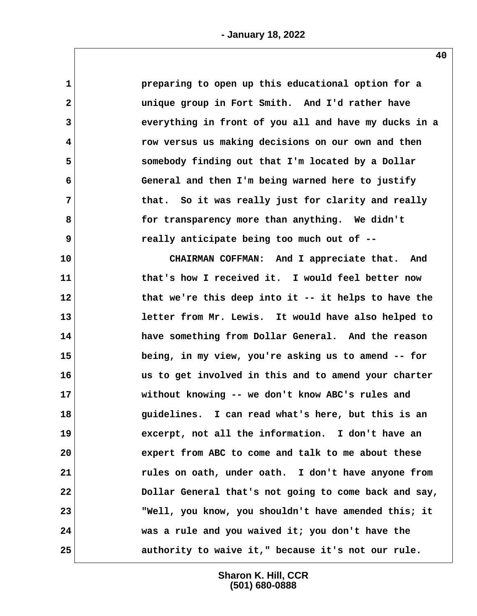| $\mathbf{1}$ | preparing to open up this educational option for a    |
|--------------|-------------------------------------------------------|
| $\mathbf{2}$ | unique group in Fort Smith. And I'd rather have       |
| 3            | everything in front of you all and have my ducks in a |
| 4            | row versus us making decisions on our own and then    |
| 5            | somebody finding out that I'm located by a Dollar     |
| 6            | General and then I'm being warned here to justify     |
| 7            | that. So it was really just for clarity and really    |
| 8            | for transparency more than anything. We didn't        |
| 9            | really anticipate being too much out of --            |
| 10           | CHAIRMAN COFFMAN: And I appreciate that. And          |
| 11           | that's how I received it. I would feel better now     |
| 12           | that we're this deep into it -- it helps to have the  |
| 13           | letter from Mr. Lewis. It would have also helped to   |
| 14           | have something from Dollar General. And the reason    |
| 15           | being, in my view, you're asking us to amend -- for   |
| 16           | us to get involved in this and to amend your charter  |
| 17           | without knowing -- we don't know ABC's rules and      |
| 18           | guidelines. I can read what's here, but this is an    |
| 19           | excerpt, not all the information. I don't have an     |
| 20           | expert from ABC to come and talk to me about these    |
| 21           | rules on oath, under oath. I don't have anyone from   |
| 22           | Dollar General that's not going to come back and say, |
| 23           | "Well, you know, you shouldn't have amended this; it  |
| 24           | was a rule and you waived it; you don't have the      |
| 25           | authority to waive it," because it's not our rule.    |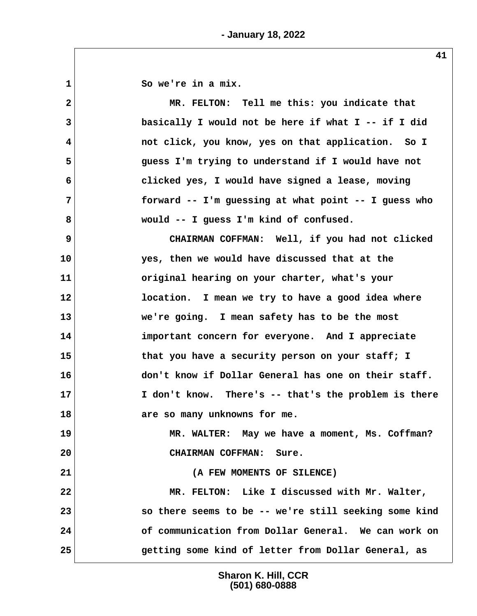**1 So we're in a mix. 2 MR. FELTON: Tell me this: you indicate that 3 basically I would not be here if what I -- if I did 4 not click, you know, yes on that application. So I 5 guess I'm trying to understand if I would have not 6 clicked yes, I would have signed a lease, moving 7 forward -- I'm guessing at what point -- I guess who 8 would -- I guess I'm kind of confused. 9 CHAIRMAN COFFMAN: Well, if you had not clicked 10 yes, then we would have discussed that at the 11 original hearing on your charter, what's your 12 location. I mean we try to have a good idea where 13 we're going. I mean safety has to be the most 14 important concern for everyone. And I appreciate 15 that you have a security person on your staff; I 16 don't know if Dollar General has one on their staff. 17 I don't know. There's -- that's the problem is there 18 are so many unknowns for me. 19 MR. WALTER: May we have a moment, Ms. Coffman? 20 CHAIRMAN COFFMAN: Sure. 21 (A FEW MOMENTS OF SILENCE) 22 MR. FELTON: Like I discussed with Mr. Walter,**

**23 so there seems to be -- we're still seeking some kind 24 of communication from Dollar General. We can work on 25 getting some kind of letter from Dollar General, as**

> **Sharon K. Hill, CCR (501) 680-0888**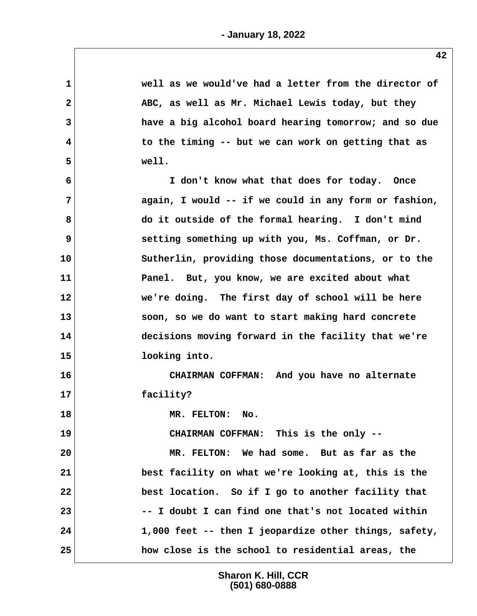| 1            | well as we would've had a letter from the director of |
|--------------|-------------------------------------------------------|
| $\mathbf{2}$ | ABC, as well as Mr. Michael Lewis today, but they     |
| 3            | have a big alcohol board hearing tomorrow; and so due |
| 4            | to the timing -- but we can work on getting that as   |
| 5            | well.                                                 |
| 6            | I don't know what that does for today. Once           |
| 7            | again, I would -- if we could in any form or fashion, |
| 8            | do it outside of the formal hearing. I don't mind     |
| 9            | setting something up with you, Ms. Coffman, or Dr.    |
| 10           | Sutherlin, providing those documentations, or to the  |
| 11           | Panel. But, you know, we are excited about what       |
| 12           | we're doing. The first day of school will be here     |
| 13           | soon, so we do want to start making hard concrete     |
| 14           | decisions moving forward in the facility that we're   |
| 15           | looking into.                                         |
| 16           | CHAIRMAN COFFMAN: And you have no alternate           |
| 17           | facility?                                             |
| 18           | MR. FELTON:<br>No.                                    |
| 19           | CHAIRMAN COFFMAN: This is the only --                 |
| 20           | MR. FELTON: We had some. But as far as the            |
| 21           | best facility on what we're looking at, this is the   |
| 22           | best location. So if I go to another facility that    |
| 23           | -- I doubt I can find one that's not located within   |
| 24           | 1,000 feet -- then I jeopardize other things, safety, |
| 25           | how close is the school to residential areas, the     |
|              |                                                       |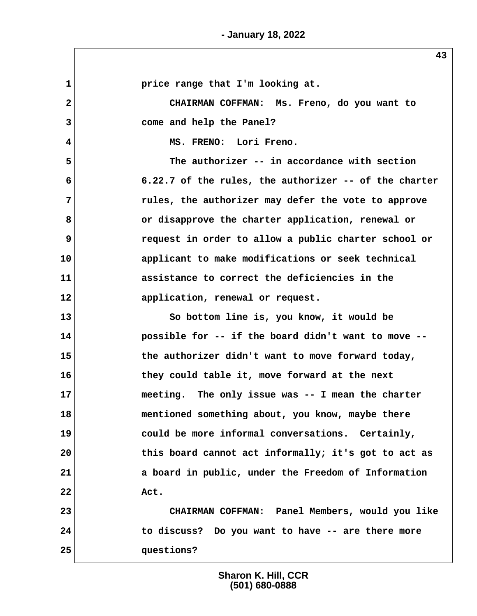1 **1 price range that I'm looking at. 2 CHAIRMAN COFFMAN: Ms. Freno, do you want to 3 come and help the Panel? 4 MS. FRENO: Lori Freno. 5 The authorizer -- in accordance with section 6 6.22.7 of the rules, the authorizer -- of the charter 7 rules, the authorizer may defer the vote to approve 8 or disapprove the charter application, renewal or 9 request in order to allow a public charter school or 10 applicant to make modifications or seek technical 11 assistance to correct the deficiencies in the 12 application, renewal or request. 13 So bottom line is, you know, it would be 14 possible for -- if the board didn't want to move -- 15 the authorizer didn't want to move forward today, 16 they could table it, move forward at the next 17 meeting. The only issue was -- I mean the charter 18 mentioned something about, you know, maybe there 19 could be more informal conversations. Certainly, 20 this board cannot act informally; it's got to act as 21 a board in public, under the Freedom of Information 22 Act. 23 CHAIRMAN COFFMAN: Panel Members, would you like 24 to discuss? Do you want to have -- are there more 25 questions?**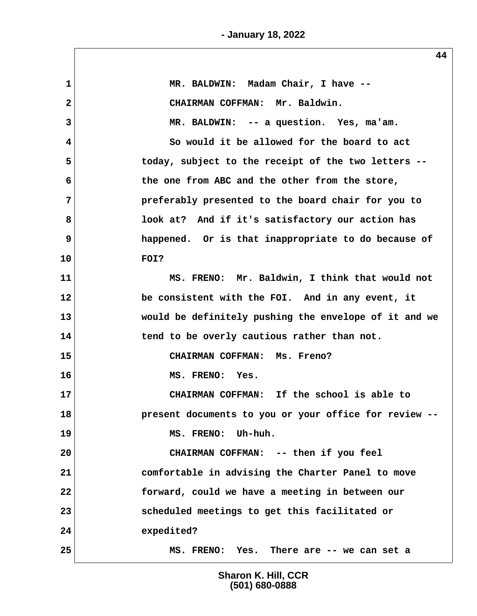**- January 18, 2022**

| 1            | MR. BALDWIN: Madam Chair, I have --                   |
|--------------|-------------------------------------------------------|
| $\mathbf{2}$ | CHAIRMAN COFFMAN: Mr. Baldwin.                        |
| 3            | MR. BALDWIN: -- a question. Yes, ma'am.               |
| 4            | So would it be allowed for the board to act           |
| 5            | today, subject to the receipt of the two letters --   |
| 6            | the one from ABC and the other from the store,        |
| 7            | preferably presented to the board chair for you to    |
| 8            | look at? And if it's satisfactory our action has      |
| 9            | happened. Or is that inappropriate to do because of   |
| 10           | FOI?                                                  |
| 11           | MS. FRENO: Mr. Baldwin, I think that would not        |
| 12           | be consistent with the FOI. And in any event, it      |
| 13           | would be definitely pushing the envelope of it and we |
| 14           | tend to be overly cautious rather than not.           |
| 15           | CHAIRMAN COFFMAN: Ms. Freno?                          |
| 16           | MS. FRENO: Yes.                                       |
| 17           | CHAIRMAN COFFMAN: If the school is able to            |
| 18           | present documents to you or your office for review -- |
| 19           | MS. FRENO: Uh-huh.                                    |
| 20           | CHAIRMAN COFFMAN: -- then if you feel                 |
| 21           | comfortable in advising the Charter Panel to move     |
| 22           | forward, could we have a meeting in between our       |
| 23           | scheduled meetings to get this facilitated or         |
| 24           | expedited?                                            |
| 25           | MS. FRENO: Yes. There are -- we can set a             |

**Sharon K. Hill, CCR (501) 680-0888**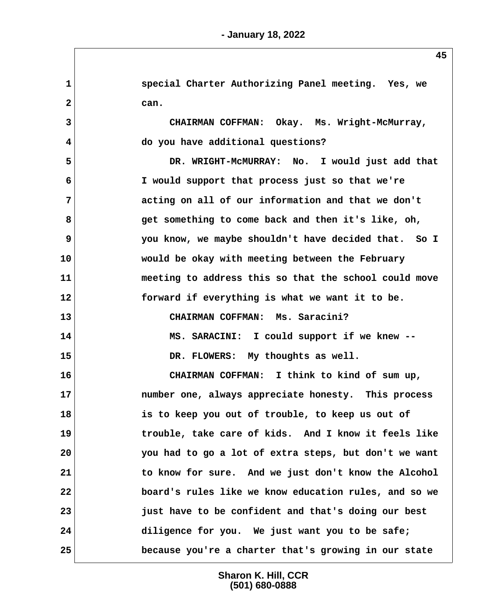**1 special Charter Authorizing Panel meeting. Yes, we 2 can. 3 CHAIRMAN COFFMAN: Okay. Ms. Wright-McMurray, 4 do you have additional questions? 5 DR. WRIGHT-McMURRAY: No. I would just add that 6 I would support that process just so that we're 7 acting on all of our information and that we don't 8 get something to come back and then it's like, oh, 9 you know, we maybe shouldn't have decided that. So I 10 would be okay with meeting between the February 11 meeting to address this so that the school could move 12 forward if everything is what we want it to be. 13 CHAIRMAN COFFMAN: Ms. Saracini? 14 MS. SARACINI: I could support if we knew -- 15 DR. FLOWERS: My thoughts as well. 16 CHAIRMAN COFFMAN: I think to kind of sum up, 17 number one, always appreciate honesty. This process 18 is to keep you out of trouble, to keep us out of 19 trouble, take care of kids. And I know it feels like 20 you had to go a lot of extra steps, but don't we want 21 to know for sure. And we just don't know the Alcohol 22 board's rules like we know education rules, and so we 23 just have to be confident and that's doing our best 24 diligence for you. We just want you to be safe; 25 because you're a charter that's growing in our state**

> **Sharon K. Hill, CCR (501) 680-0888**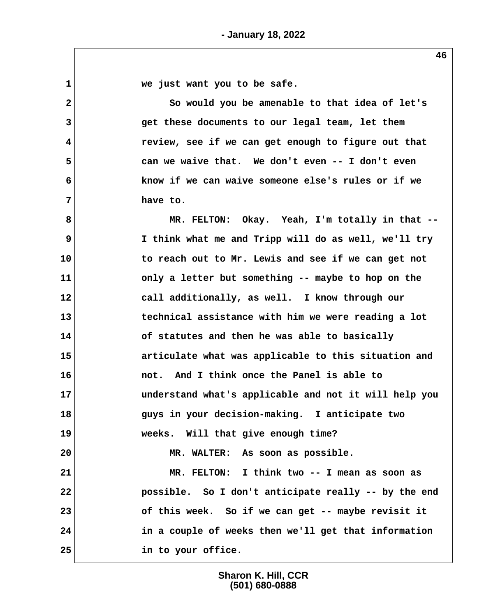**1 we just want you to be safe. 2 So would you be amenable to that idea of let's 3 get these documents to our legal team, let them 4 review, see if we can get enough to figure out that 5 can we waive that. We don't even -- I don't even 6 know if we can waive someone else's rules or if we 7 have to. 8 MR. FELTON: Okay. Yeah, I'm totally in that -- 9 I think what me and Tripp will do as well, we'll try 10 to reach out to Mr. Lewis and see if we can get not 11 only a letter but something -- maybe to hop on the 12 call additionally, as well. I know through our 13 technical assistance with him we were reading a lot 14 of statutes and then he was able to basically 15 articulate what was applicable to this situation and 16 not. And I think once the Panel is able to 17 understand what's applicable and not it will help you 18 guys in your decision-making. I anticipate two 19 weeks. Will that give enough time? 20 MR. WALTER: As soon as possible. 21 MR. FELTON: I think two -- I mean as soon as 22 possible. So I don't anticipate really -- by the end 23 of this week. So if we can get -- maybe revisit it 24 in a couple of weeks then we'll get that information 25 in to your office.**

> **Sharon K. Hill, CCR (501) 680-0888**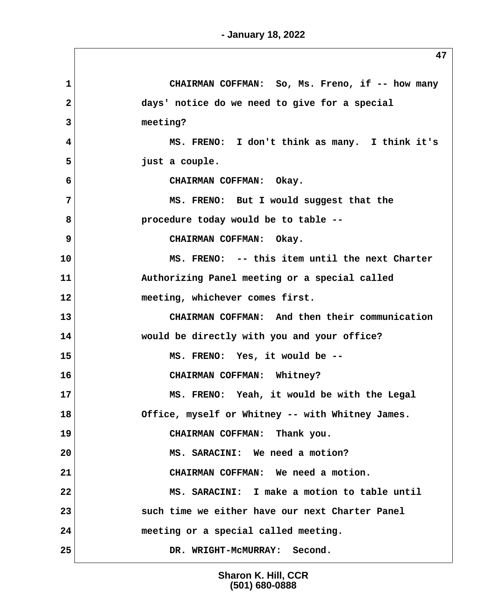| $\mathbf{1}$   | CHAIRMAN COFFMAN: So, Ms. Freno, if -- how many  |
|----------------|--------------------------------------------------|
| $\overline{2}$ | days' notice do we need to give for a special    |
| 3              | meeting?                                         |
| 4              | MS. FRENO: I don't think as many. I think it's   |
| 5              | just a couple.                                   |
| 6              | CHAIRMAN COFFMAN: Okay.                          |
| $\overline{7}$ | MS. FRENO: But I would suggest that the          |
| 8              | procedure today would be to table --             |
| 9              | CHAIRMAN COFFMAN: Okay.                          |
| 10             | MS. FRENO: -- this item until the next Charter   |
| 11             | Authorizing Panel meeting or a special called    |
| 12             | meeting, whichever comes first.                  |
| 13             | CHAIRMAN COFFMAN: And then their communication   |
| 14             | would be directly with you and your office?      |
| 15             | MS. FRENO: Yes, it would be --                   |
| 16             | CHAIRMAN COFFMAN: Whitney?                       |
| 17             | MS. FRENO: Yeah, it would be with the Legal      |
| 18             | Office, myself or Whitney -- with Whitney James. |
| 19             | CHAIRMAN COFFMAN: Thank you.                     |
| 20             | MS. SARACINI: We need a motion?                  |
| 21             | CHAIRMAN COFFMAN: We need a motion.              |
| 22             | MS. SARACINI: I make a motion to table until     |
| 23             | such time we either have our next Charter Panel  |
| 24             | meeting or a special called meeting.             |
| 25             | DR. WRIGHT-MCMURRAY: Second.                     |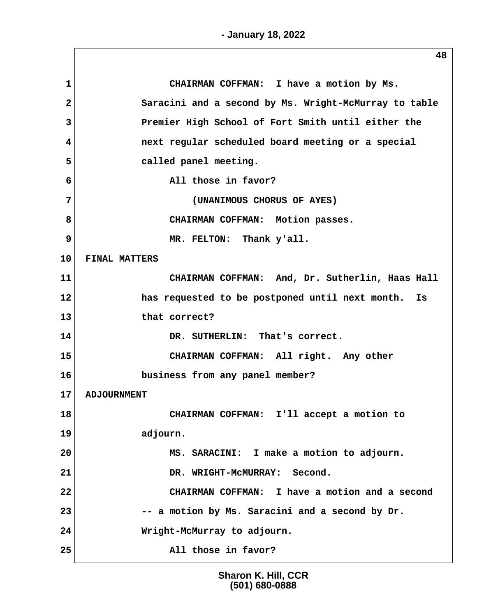| 1  | CHAIRMAN COFFMAN: I have a motion by Ms.              |
|----|-------------------------------------------------------|
| 2  | Saracini and a second by Ms. Wright-McMurray to table |
| 3  | Premier High School of Fort Smith until either the    |
| 4  | next regular scheduled board meeting or a special     |
| 5  | called panel meeting.                                 |
| 6  | All those in favor?                                   |
| 7  | (UNANIMOUS CHORUS OF AYES)                            |
| 8  | CHAIRMAN COFFMAN: Motion passes.                      |
| 9  | MR. FELTON: Thank y'all.                              |
| 10 | <b>FINAL MATTERS</b>                                  |
| 11 | CHAIRMAN COFFMAN: And, Dr. Sutherlin, Haas Hall       |
| 12 | has requested to be postponed until next month. Is    |
| 13 | that correct?                                         |
| 14 | DR. SUTHERLIN: That's correct.                        |
| 15 | CHAIRMAN COFFMAN: All right. Any other                |
| 16 | business from any panel member?                       |
| 17 | <b>ADJOURNMENT</b>                                    |
| 18 | CHAIRMAN COFFMAN: I'll accept a motion to             |
| 19 | adjourn.                                              |
| 20 | MS. SARACINI: I make a motion to adjourn.             |
| 21 | DR. WRIGHT-MCMURRAY: Second.                          |
| 22 | CHAIRMAN COFFMAN: I have a motion and a second        |
| 23 | -- a motion by Ms. Saracini and a second by Dr.       |
| 24 | Wright-McMurray to adjourn.                           |
| 25 | All those in favor?                                   |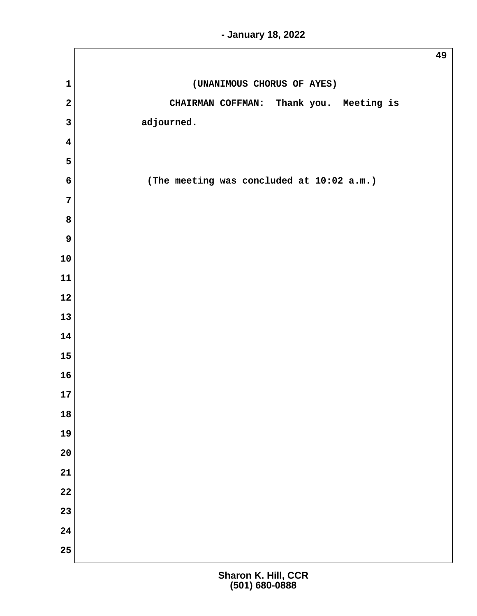|                         | 49                                        |
|-------------------------|-------------------------------------------|
| $\mathbf 1$             | (UNANIMOUS CHORUS OF AYES)                |
| $\mathbf{2}$            | CHAIRMAN COFFMAN: Thank you. Meeting is   |
| $\mathbf{3}$            | adjourned.                                |
| $\overline{\mathbf{4}}$ |                                           |
| $5\phantom{.0}$         |                                           |
| $6\phantom{1}$          | (The meeting was concluded at 10:02 a.m.) |
| $\overline{7}$          |                                           |
| 8                       |                                           |
| $\boldsymbol{9}$        |                                           |
| 10                      |                                           |
| ${\bf 11}$              |                                           |
| 12                      |                                           |
| 13                      |                                           |
| 14                      |                                           |
| 15                      |                                           |
| 16                      |                                           |
| 17                      |                                           |
| 18                      |                                           |
| 19                      |                                           |
| 20                      |                                           |
| 21                      |                                           |
| 22                      |                                           |
| 23                      |                                           |
| 24                      |                                           |
| 25                      |                                           |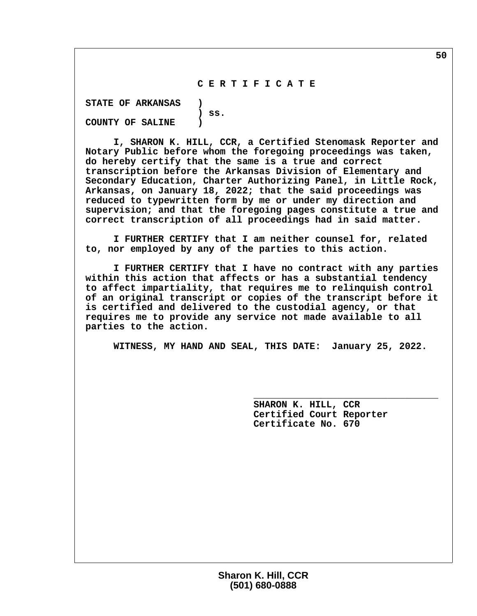## **C E R T I F I C A T E**

 **STATE OF ARKANSAS ) ) ss. COUNTY OF SALINE )**

 **I, SHARON K. HILL, CCR, a Certified Stenomask Reporter and Notary Public before whom the foregoing proceedings was taken, do hereby certify that the same is a true and correct transcription before the Arkansas Division of Elementary and Secondary Education, Charter Authorizing Panel, in Little Rock, Arkansas, on January 18, 2022; that the said proceedings was reduced to typewritten form by me or under my direction and supervision; and that the foregoing pages constitute a true and correct transcription of all proceedings had in said matter.**

 **I FURTHER CERTIFY that I am neither counsel for, related to, nor employed by any of the parties to this action.**

 **I FURTHER CERTIFY that I have no contract with any parties within this action that affects or has a substantial tendency to affect impartiality, that requires me to relinquish control of an original transcript or copies of the transcript before it is certified and delivered to the custodial agency, or that requires me to provide any service not made available to all parties to the action.**

 **WITNESS, MY HAND AND SEAL, THIS DATE: January 25, 2022.**

 **\_\_\_\_\_\_\_\_\_\_\_\_\_\_\_\_\_\_\_\_\_\_\_\_\_\_\_\_\_\_\_\_\_**

 **SHARON K. HILL, CCR Certified Court Reporter Certificate No. 670**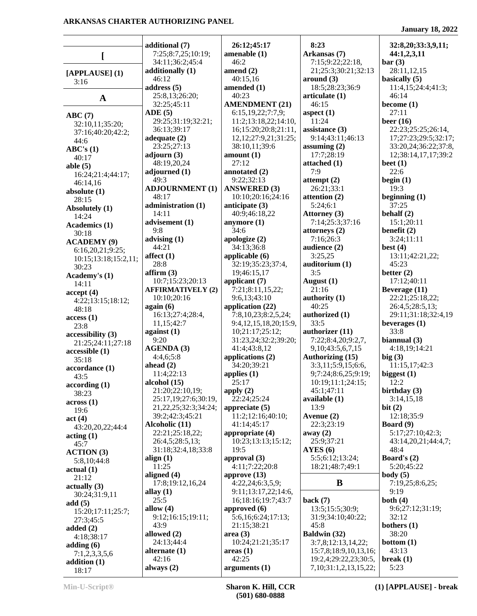**January 18, 2022**

|                                |                            |                            |                              | January 10, 2022     |
|--------------------------------|----------------------------|----------------------------|------------------------------|----------------------|
|                                | additional (7)             | 26:12;45:17                | 8:23                         | 32:8,20;33:3,9,11;   |
|                                | 7:25;8:7,25;10:19;         | amenable (1)               | Arkansas (7)                 | 44:1,2,3,11          |
|                                | 34:11;36:2;45:4            | 46:2                       | 7:15;9:22;22:18,             | bar(3)               |
|                                | additionally (1)           | amend $(2)$                | 21;25:3;30:21;32:13          | 28:11,12,15          |
| [APPLAUSE] (1)                 | 46:12                      | 40:15,16                   | around (3)                   | basically (5)        |
| 3:16                           | address $(5)$              | amended (1)                | 18:5;28:23;36:9              | 11:4,15;24:4;41:3;   |
|                                | 25:8,13;26:20;             | 40:23                      | articulate (1)               | 46:14                |
| $\mathbf A$                    | 32:25;45:11                | <b>AMENDMENT (21)</b>      | 46:15                        | become $(1)$         |
|                                | ADE(5)                     | 6:15,19,22;7:7,9;          | aspect $(1)$                 | 27:11                |
| ABC(7)                         | 29:25;31:19;32:21;         | 11:2;13:18,22;14:10,       | 11:24                        | beer $(16)$          |
| 32:10,11;35:20;                | 36:13;39:17                | 16;15:20;20:8;21:11,       | assistance (3)               | 22:23;25:25;26:14,   |
| 37:16;40:20;42:2;              | adequate $(2)$             | 12, 12; 27: 9, 21; 31: 25; | 9:14:43:11:46:13             | 17;27:23;29:5;32:17; |
| 44:6                           | 23:25;27:13                | 38:10,11;39:6              | assuming $(2)$               | 33:20,24;36:22;37:8, |
| ABC's(1)                       | adjourn $(3)$              | amount $(1)$               | 17:7;28:19                   | 12;38:14,17,17;39:2  |
| 40:17                          | 48:19,20,24                | 27:12                      | attached (1)                 | beet $(1)$           |
| able $(5)$                     | adjourned $(1)$            | annotated (2)              | 7:9                          | 22:6                 |
| 16:24;21:4;44:17;              | 49:3                       | 9:22;32:13                 | attempt $(2)$                | begin $(1)$          |
| 46:14,16                       | <b>ADJOURNMENT (1)</b>     | <b>ANSWERED (3)</b>        | 26:21;33:1                   | 19:3                 |
| absolute $(1)$                 | 48:17                      | 10:10:20:16:24:16          | attention (2)                | beginning $(1)$      |
| 28:15                          | administration (1)         | anticipate (3)             | 5:24;6:1                     | 37:25                |
| Absolutely (1)                 | 14:11                      | 40:9;46:18,22              | Attorney (3)                 | behalf $(2)$         |
| 14:24                          | advisement (1)             | anymore $(1)$              | 7:14;25:3;37:16              | 15:1;20:11           |
| Academics (1)                  | 9:8                        | 34:6                       | attorneys (2)                | benefit $(2)$        |
| 30:18                          | advising $(1)$             | apologize (2)              | 7:16:26:3                    | 3:24;11:11           |
| <b>ACADEMY (9)</b>             | 44:21                      | 34:13;36:8                 | audience (2)                 | best $(4)$           |
| 6:16,20,21;9:25;               |                            |                            | 3:25,25                      |                      |
| 10:15;13:18;15:2,11;           | affect $(1)$               | applicable $(6)$           |                              | 13:11;42:21,22;      |
| 30:23                          | 28:8                       | 32:19;35:23;37:4,          | auditorium (1)<br>3:5        | 45:23                |
| Academy's (1)                  | affirm(3)                  | 19;46:15,17                |                              | better $(2)$         |
| 14:11                          | 10:7;15:23;20:13           | applicant $(7)$            | August $(1)$                 | 17:12;40:11          |
| accept(4)                      | <b>AFFIRMATIVELY (2)</b>   | 7:21;8:11,15,22;           | 21:16                        | Beverage (11)        |
| 4:22;13:15;18:12;              | 10:10;20:16                | 9:6,13;43:10               | authority (1)                | 22:21;25:18,22;      |
| 48:18                          | again (6)                  | application (22)           | 40:25                        | 26:4,5;28:5,13;      |
| access(1)                      | 16:13;27:4;28:4,           | 7:8,10,23;8:2,5,24;        | authorized (1)               | 29:11;31:18;32:4,19  |
| 23:8                           | 11,15;42:7                 | 9:4,12,15,18,20;15:9,      | 33:5                         | beverages $(1)$      |
| accessibility (3)              | against $(1)$              | 10;21:17;25:12;            | authorizer (11)              | 33:8                 |
| 21:25;24:11;27:18              | 9:20                       | 31:23,24;32:2;39:20;       | 7:22;8:4,20;9:2,7,           | biannual $(3)$       |
| accessible (1)                 | <b>AGENDA (3)</b>          | 41:4;43:8,12               | 9, 10; 43: 5, 6, 7, 15       | 4:18,19:14:21        |
| 35:18                          | 4:4,6;5:8                  | applications (2)           | Authorizing (15)             | big(3)               |
| accordance (1)                 | ahead $(2)$                | 34:20;39:21                | 3:3,11;5:9,15;6:6,           | 11:15,17;42:3        |
| 43:5                           | 11:4;22:13                 | applies $(1)$              | 9;7:24;8:6,25;9:19;          | biggest $(1)$        |
| according(1)                   | alcohol (15)               | 25:17                      | 10:19;11:1;24:15;            | 12:2                 |
| 38:23                          | 21:20;22:10,19;            | apply $(2)$                | 45:1;47:11                   | birthday $(3)$       |
| across(1)                      | 25:17,19;27:6;30:19,       | 22:24;25:24                | available (1)                | 3:14,15,18           |
| 19:6                           | 21, 22, 25; 32: 3; 34: 24; | appreciate $(5)$           | 13:9                         | bit $(2)$            |
| act(4)                         | 39:2;42:3;45:21            | 11:2;12:16;40:10;          | Avenue (2)                   | 12:18;35:9           |
| 43:20,20,22;44:4               | Alcoholic (11)             | 41:14;45:17                | 22:3;23:19                   | Board $(9)$          |
| $\arctan(1)$                   | 22:21;25:18,22;            | appropriate (4)            | away $(2)$                   | 5:17;27:10;42:3;     |
| 45:7                           | 26:4,5;28:5,13;            | 10:23;13:13;15:12;         | 25:9;37:21                   | 43:14,20,21;44:4,7;  |
| <b>ACTION</b> (3)              | 31:18;32:4,18;33:8         | 19:5                       | AYES(6)                      | 48:4                 |
| 5:8,10;44:8                    | align $(1)$                | approval (3)               | 5:5;6:12;13:24;              | Board's $(2)$        |
| actual(1)                      | 11:25                      | 4:11;7:22;20:8             | 18:21;48:7;49:1              | 5:20;45:22           |
| 21:12                          | aligned $(4)$              | approve $(13)$             |                              | body(5)              |
| $\left( 3\right)$ actually (3) | 17:8;19:12,16,24           | 4:22,24;6:3,5,9;           | B                            | 7:19,25;8:6,25;      |
| 30:24;31:9,11                  | allay $(1)$                | 9:11;13:17,22;14:6,        |                              | 9:19                 |
| add $(5)$                      | 25:5                       | 16;18:16;19:7;43:7         | back $(7)$                   | both $(4)$           |
| 15:20;17:11;25:7;              | allow $(4)$                | approved $(6)$             | 13:5;15:5;30:9;              | 9:6;27:12;31:19;     |
| 27:3;45:5                      | 9:12;16:15;19:11;          | 5:6,16;6:24;17:13;         | 31:9;34:10;40:22;            | 32:12                |
| added $(2)$                    | 43:9                       | 21:15;38:21                | 45:8                         | bothers $(1)$        |
| 4:18;38:17                     | allowed (2)                | area(3)                    | Baldwin (32)                 | 38:20                |
| adding $(6)$                   | 24:13;44:4                 | 10:24;21:21;35:17          | 3:7,8;12:13,14,22;           | bottom(1)            |
| 7:1,2,3,3,5,6                  | alternate $(1)$            | areas(1)                   | 15:7,8;18:9,10,13,16;        | 43:13                |
| addition $(1)$                 | 42:16                      | 42:25                      | 19:2,4;29:22,23;30:5,        | break $(1)$          |
| 18:17                          | always $(2)$               | arguments (1)              | 7, 10; 31: 1, 2, 13, 15, 22; | 5:23                 |
|                                |                            |                            |                              |                      |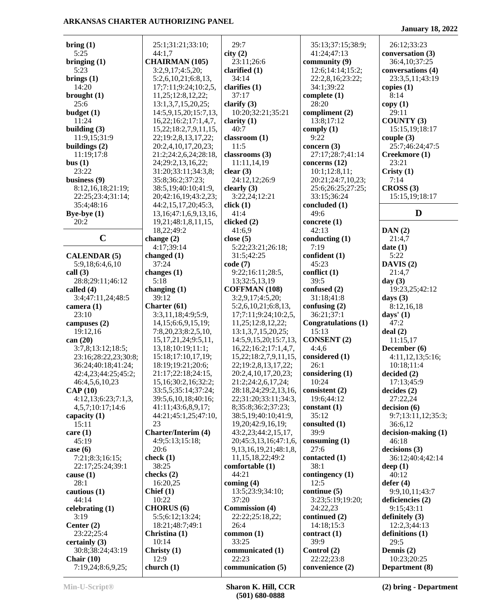**bring (1)** 5:25 **bringing (1)** 5:23 **brings (1)** 14:20 **brought (1)** 25:6 **budget (1)** 11:24 **building (3)** 11:9,15;31:9 **buildings (2)** 11:19;17:8 **bus (1)** 23:22 **business (9)** 8:12,16,18;21:19; 22:25;23:4;31:14; 35:4;48:16 **Bye-bye (1)** 20:2 **C change (2) CALENDAR (5)** 5:9,18;6:4,6,10 **call (3)** 28:8;29:11;46:12 **called (4)** 3:4;47:11,24;48:5 **camera (1)** 23:10 **campuses (2)** 19:12,16 **can (20)** 3:7,8;13:12;18:5; 23:16;28:22,23;30:8; 36:24;40:18;41:24; 42:4,23;44:25;45:2; 46:4,5,6,10,23 **CAP (10)** 4:12,13;6:23;7:1,3, 4,5,7;10:17;14:6 **capacity (1)** 15:11 **care (1)** 45:19 **case (6)** 7:21;8:3;16:15; 22:17;25:24;39:1 **cause (1)** 28:1 **cautious (1)** 44:14 **celebrating (1)** 3:19 **Center (2)** 23:22;25:4 **certainly (3)** 30:8;38:24;43:19 **Chair (10)** 7:19,24;8:6,9,25; 25:1;31:21;33:10; 44:1,7 **CHAIRMAN (105)** 3:2,9,17;4:5,20; 5:2,6,10,21;6:8,13, 17;7:11;9:24;10:2,5, 11,25;12:8,12,22; 13:1,3,7,15,20,25; 14:5,9,15,20;15:7,13, 16,22;16:2;17:1,4,7, 15,22;18:2,7,9,11,15, 22;19:2,8,13,17,22; 20:2,4,10,17,20,23; 21:2;24:2,6,24;28:18, 24;29:2,13,16,22; 31:20;33:11;34:3,8; 35:8;36:2;37:23; 38:5,19;40:10;41:9, 20;42:16,19;43:2,23; 44:2,15,17,20;45:3, 13,16;47:1,6,9,13,16, 19,21;48:1,8,11,15, 18,22;49:2 4:17;39:14 **changed (1)** 37:24 **changes (1)** 5:18 **changing (1)** 39:12 **Charter (61)** 3:3,11,18;4:9;5:9, 14,15;6:6,9,15,19; 7:8,20,23;8:2,5,10, 15,17,21,24;9:5,11, 13,18;10:19;11:1; 15:18;17:10,17,19; 18:19;19:21;20:6; 21:17;22:18;24:15, 15,16;30:2,16;32:2; 33:5,5;35:14;37:24; 39:5,6,10,18;40:16; 41:11;43:6,8,9,17; 44:21;45:1,25;47:10, 23 **Charter/Interim (4)** 4:9;5:13;15:18; 20:6 **check (1)** 38:25 **checks (2)** 16:20,25 **Chief (1)** 10:22 **CHORUS (6)** 5:5;6:12;13:24; 18:21;48:7;49:1 **Christina (1)** 10:14 **Christy (1)** 12:9 **church (1)** 29:7 **city (2)** 23:11;26:6 **clarified (1)** 34:14 **clarifies (1)** 37:17 **clarify (3)** 10:20;32:21;35:21 **clarity (1)** 40:7 **classroom (1)** 11:5 **classrooms (3)** 11:11,14,19 **clear (3)** 24:12,12;26:9 **clearly (3)** 3:22,24;12:21 **click (1)** 41:4 **clicked (2)** 41:6,9 **close (5)** 5:22;23:21;26:18; 31:5;42:25 **code (7)** 9:22;16:11;28:5, 13;32:5,13,19 **COFFMAN (108)** 3:2,9,17;4:5,20; 5:2,6,10,21;6:8,13, 17;7:11;9:24;10:2,5, 11,25;12:8,12,22; 13:1,3,7,15,20,25; 14:5,9,15,20;15:7,13, 16,22;16:2;17:1,4,7, 15,22;18:2,7,9,11,15, 22;19:2,8,13,17,22; 20:2,4,10,17,20,23; 21:2;24:2,6,17,24; 28:18,24;29:2,13,16, 22;31:20;33:11;34:3, 8;35:8;36:2;37:23; 38:5,19;40:10;41:9, 19,20;42:9,16,19; 43:2,23;44:2,15,17, 20;45:3,13,16;47:1,6, 9,13,16,19,21;48:1,8, 11,15,18,22;49:2 **comfortable (1)** 44:21 **coming (4)** 13:5;23:9;34:10; 37:20 **Commission (4)** 22:22;25:18,22; 26:4 **common (1)** 33:25 **communicated (1)** 22:23 **communication (5)** 35:13;37:15;38:9; 41:24;47:13 **community (9)** 12:6;14:14;15:2; 22:2,8,16;23:22; 34:1;39:22 **complete (1)** 28:20 **compliment (2)** 13:8;17:12 **comply (1)** 9:22 **concern (3)** 27:17;28:7;41:14 **concerns (12)** 10:1;12:8,11; 20:21;24:7,10,23; 25:6;26:25;27:25; 33:15;36:24 **concluded (1)** 49:6 **concrete (1)** 42:13 **conducting (1)** 7:19 **confident (1)** 45:23 **conflict (1)** 39:5 **confused (2)** 31:18;41:8 **confusing (2)** 36:21;37:1 **Congratulations (1)** 15:13 **CONSENT (2)** 4:4,6 **considered (1)** 26:1 **considering (1)** 10:24 **consistent (2)** 19:6;44:12 **constant (1)** 35:12 **consulted (1)** 39:9 **consuming (1)** 27:6 **contacted (1)** 38:1 **contingency (1)** 12:5 **continue (5)** 3:23;5:19;19:20; 24:22,23 **continued (2)** 14:18;15:3 **contract (1)** 39:9 **Control (2)** 22:22;23:8 **convenience (2)** 26:12;33:23 **conversation (3)** 36:4,10;37:25 **conversations (4)** 23:3,5,11;43:19 **copies (1)** 8:14 **copy (1)** 29:11 **COUNTY (3)** 15:15,19;18:17 **couple (3)** 25:7;46:24;47:5 **Creekmore (1)** 23:21 **Cristy (1)** 7:14 **CROSS (3)** 15:15,19;18:17 **D DAN (2)** 21:4,7 **date (1)** 5:22 **DAVIS (2)** 21:4,7 **day (3)** 19:23,25;42:12 **days (3)** 8:12,16,18 **days' (1)** 47:2 **deal (2)** 11:15,17 **December (6)** 4:11,12,13;5:16; 10:18;11:4 **decided (2)** 17:13;45:9 **decides (2)** 27:22,24 **decision (6)** 9:7;13:11,12;35:3; 36:6,12 **decision-making (1)** 46:18 **decisions (3)** 36:12;40:4;42:14 **deep (1)** 40:12 **defer (4)** 9:9,10,11;43:7 **deficiencies (2)** 9:15;43:11 **definitely (3)** 12:2,3;44:13 **definitions (1)** 29:5 **Dennis (2)** 10:23;20:25 **Department (8)**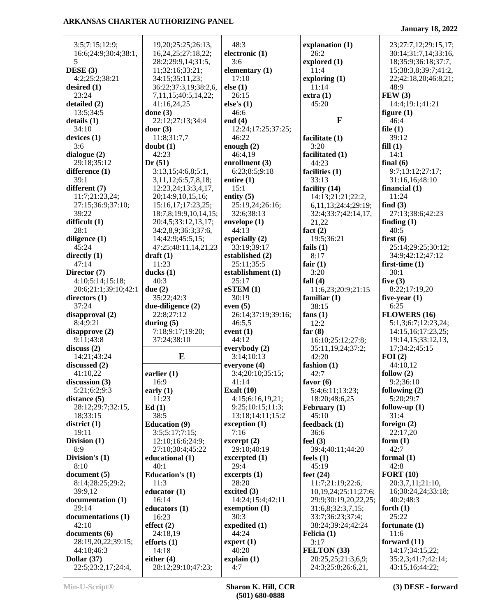| 3:5;7:15;12:9;                   | 19,20;25:25;26:13,                       | 48:3                             | explanation (1)                 | 23;27:7,12;29:15,17;                 |
|----------------------------------|------------------------------------------|----------------------------------|---------------------------------|--------------------------------------|
| 16:6;24:9;30:4;38:1,             | 16, 24, 25; 27: 18, 22;                  | electronic (1)                   | 26:2                            | 30:14;31:7,14;33:16,                 |
| 5                                | 28:2;29:9,14;31:5,                       | 3:6                              | explored (1)                    | 18;35:9;36:18;37:7,                  |
| DESE(3)                          | 11;32:16;33:21;                          | elementary (1)                   | 11:4                            | 15;38:3,8;39:7;41:2,                 |
| 4:2;25:2;38:21                   | 34:15;35:11,23;                          | 17:10                            | exploring $(1)$                 | 22;42:18,20;46:8,21;                 |
| desired $(1)$                    | 36:22;37:3,19;38:2,6,                    | else(1)                          | 11:14                           | 48:9                                 |
| 23:24                            | 7,11,15;40:5,14,22;                      | 26:15                            | extra(1)                        | FEW(3)                               |
| detailed (2)                     | 41:16,24,25                              | else's $(1)$                     | 45:20                           | 14:4;19:1;41:21                      |
| 13:5;34:5                        | done $(3)$                               | 46:6                             | $\mathbf{F}$                    | figure $(1)$                         |
| details(1)                       | 22:12;27:13;34:4                         | end $(4)$                        |                                 | 46:4                                 |
| 34:10<br>devices $(1)$           | door $(3)$<br>11:8;31:7,7                | 12:24;17:25;37:25;<br>46:22      | facilitate (1)                  | file $(1)$<br>39:12                  |
| 3:6                              | doubt(1)                                 | enough $(2)$                     | 3:20                            | fill(1)                              |
| dialogue (2)                     | 42:23                                    | 46:4,19                          | facilitated (1)                 | 14:1                                 |
| 29:18;35:12                      | Dr(51)                                   | enrollment $(3)$                 | 44:23                           | final $(6)$                          |
| difference (1)                   | 3:13,15;4:6,8;5:1,                       | 6:23;8:5;9:18                    | facilities (1)                  | 9:7;13:12;27:17;                     |
| 39:1                             | 3,11,12;6:5,7,8,18;                      | entire $(1)$                     | 33:13                           | 31:16,16;48:10                       |
| different (7)                    | 12:23,24;13:3,4,17,                      | 15:1                             | facility (14)                   | financial $(1)$                      |
| 11:7;21:23,24;                   | 20;14:9,10,15,16;                        | entity $(5)$                     | 14:13;21:21;22:2,               | 11:24                                |
| 27:15;36:9;37:10;                | 15:16,17;17:23,25;                       | 25:19,24;26:16;                  | 6,11,13;24:4;29:19;             | find $(3)$                           |
| 39:22                            | 18:7,8;19:9,10,14,15;                    | 32:6;38:13                       | 32:4;33:7;42:14,17,             | 27:13;38:6;42:23                     |
| difficult (1)                    | 20:4,5;33:12,13,17;                      | envelope (1)                     | 21,22                           | finding $(1)$                        |
| 28:1                             | 34:2,8,9;36:3;37:6,                      | 44:13                            | fact $(2)$                      | 40:5                                 |
| diligence $(1)$<br>45:24         | 14;42:9;45:5,15;<br>47:25;48:11,14,21,23 | especially $(2)$<br>33:19;39:17  | 19:5;36:21                      | first $(6)$<br>25:14;29:25;30:12;    |
| directly $(1)$                   | $draff(1)$                               | established (2)                  | fails $(1)$<br>8:17             | 34:9;42:12;47:12                     |
| 47:14                            | 11:23                                    | 25:11;35:5                       | fair $(1)$                      | first-time $(1)$                     |
| Director (7)                     | ducks $(1)$                              | establishment (1)                | 3:20                            | 30:1                                 |
| 4:10;5:14;15:18;                 | 40:3                                     | 25:17                            | fall $(4)$                      | five $(3)$                           |
| 20:6;21:1;39:10;42:1             | due $(2)$                                | eSTEM(1)                         | 11:6,23;20:9;21:15              | 8:22;17:19,20                        |
| directors $(1)$                  | 35:22;42:3                               | 30:19                            | familiar $(1)$                  | five-year $(1)$                      |
| 37:24                            | due-diligence (2)                        | even $(5)$                       | 38:15                           | 6:25                                 |
| disapproval (2)                  | 22:8;27:12                               | 26:14;37:19;39:16;               | fans $(1)$                      | FLOWERS (16)                         |
| 8:4;9:21                         | during $(5)$                             | 46:5,5                           | 12:2                            | 5:1,3;6:7;12:23,24;                  |
| disapprove(2)                    | 7:18;9:17;19:20;                         | event $(1)$                      | far $(8)$                       | 14:15,16;17:23,25;                   |
| 9:11;43:8                        | 37:24;38:10                              | 44:12                            | 16:10;25:12;27:8;               | 19:14,15;33:12,13,                   |
| discuss(2)                       |                                          | everybody (2)                    | 35:11,19,24;37:2;               | 17;34:2;45:15                        |
| 14:21;43:24                      | E                                        | 3:14;10:13                       | 42:20                           | FOI(2)                               |
| discussed (2)<br>41:10,22        | earlier $(1)$                            | everyone (4)<br>3:4;20:10;35:15; | fashion $(1)$<br>42:7           | 44:10,12<br>follow $(2)$             |
| discussion $(3)$                 | 16:9                                     | 41:14                            | favor $(6)$                     | 9:2;36:10                            |
| 5:21;6:2;9:3                     | early $(1)$                              | Exalt $(10)$                     | 5:4;6:11;13:23;                 | following (2)                        |
| distance $(5)$                   | 11:23                                    | 4:15;6:16,19,21;                 | 18:20;48:6,25                   | 5:20;29:7                            |
| 28:12;29:7;32:15,                | Ed(1)                                    | 9:25;10:15;11:3;                 | February (1)                    | follow-up $(1)$                      |
| 18;33:15                         | 38:5                                     | 13:18:14:11:15:2                 | 45:10                           | 31:4                                 |
| district $(1)$                   | <b>Education (9)</b>                     | exception (1)                    | feedback (1)                    | foreign $(2)$                        |
| 19:11                            | 3:5;5:17;7:15;                           | 7:16                             | 36:6                            | 22:17,20                             |
| Division (1)                     | 12:10;16:6;24:9;                         | $\text{except} \left( 2 \right)$ | feel $(3)$                      | form $(1)$                           |
| 8:9                              | 27:10;30:4;45:22                         | 29:10;40:19                      | 39:4;40:11;44:20                | 42:7                                 |
| Division's (1)                   | educational (1)                          | excerpted (1)                    | feels $(1)$                     | formal $(1)$                         |
| 8:10                             | 40:1                                     | 29:4                             | 45:19                           | 42:8                                 |
| document (5)<br>8:14;28:25;29:2; | <b>Education's (1)</b><br>11:3           | excepts(1)<br>28:20              | feet $(24)$<br>11:7;21:19;22:6, | <b>FORT</b> (10)<br>20:3,7,11;21:10, |
| 39:9,12                          | educator $(1)$                           | excited $(3)$                    | 10, 19, 24; 25: 11; 27: 6;      | 16;30:24,24;33:18;                   |
| documentation (1)                | 16:14                                    | 14:24;15:4;42:11                 | 29:9;30:19,20,22,25;            | 40:2;48:3                            |
| 29:14                            | educators (1)                            | exemption $(1)$                  | 31:6,8;32:3,7,15;               | forth $(1)$                          |
| documentations (1)               | 16:23                                    | 30:3                             | 33:7;36:23;37:4;                | 25:22                                |
| 42:10                            | effect $(2)$                             | expedited (1)                    | 38:24;39:24;42:24               | fortunate (1)                        |
| documents (6)                    | 24:18,19                                 | 44:24                            | Felicia (1)                     | 11:6                                 |
| 28:19,20,22;39:15;               | efforts $(1)$                            | $\text{expert}(1)$               | 3:17                            | forward $(11)$                       |
| 44:18;46:3                       | 14:18                                    | 40:20                            | FELTON (33)                     | 14:17;34:15,22;                      |
| Dollar $(37)$                    | either $(4)$                             | explain(1)                       | 20:25,25;21:3,6,9;              | 35:2,3;41:7;42:14;                   |
| 22:5;23:2,17;24:4,               | 28:12;29:10;47:23;                       | 4:7                              | 24:3;25:8;26:6,21,              | 43:15,16;44:22;                      |

**January 18, 2022**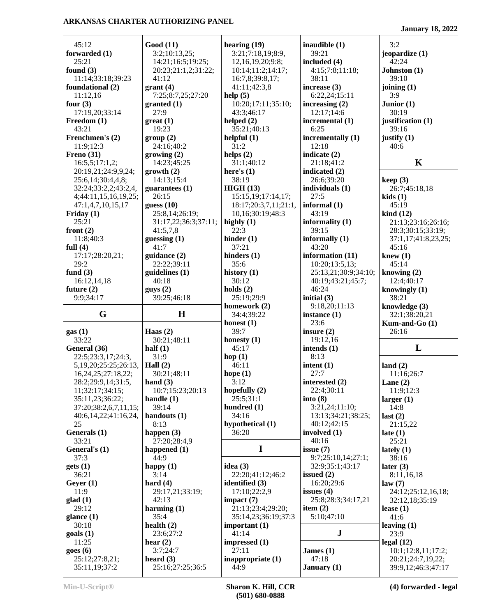45:12 **forwarded (1)** 25:21 **found (3)** 11:14;33:18;39:23 **foundational (2)** 11:12,16 **four (3)** 17:19,20;33:14 **Freedom (1)** 43:21 **Frenchmen's (2)** 11:9;12:3 **Freno (31)** 16:5,5;17:1,2; 20:19,21;24:9,9,24; 25:6,14;30:4,4,8; 32:24;33:2,2;43:2,4, 4;44:11,15,16,19,25; 47:1,4,7,10,15,17 **Friday (1)** 25:21 **front (2)** 11:8;40:3 **full (4)** 17:17;28:20,21; 29:2 **fund (3)** 16:12,14,18 **future (2)** 9:9;34:17 **G gas (1)** 33:22 **General (36)** 22:5;23:3,17;24:3, 5,19,20;25:25;26:13, 16,24,25;27:18,22; 28:2;29:9,14;31:5, 11;32:17;34:15; 35:11,23;36:22; 37:20;38:2,6,7,11,15; 40:6,14,22;41:16,24, 25 **Generals (1)** 33:21 **General's (1)** 37:3 **gets (1)** 36:21 **Geyer (1)** 11:9 **glad (1)** 29:12 **glance (1)** 30:18 **goals (1)** 11:25 **goes (6)** 25:12;27:8,21; 35:11,19;37:2 **Good (11)** 3:2;10:13,25; 14:21;16:5;19:25; 20:23;21:1,2;31:22; 41:12 **grant (4)** 7:25;8:7,25;27:20 **granted (1)** 27:9 **great (1)** 19:23 **group (2)** 24:16;40:2 **growing (2)** 14:23;45:25 **growth (2)** 14:13;15:4 **guarantees (1)** 26:15 **guess (10)** 25:8,14;26:19; 31:17,22;36:3;37:11; 41:5,7,8 **guessing (1)** 41:7 **guidance (2)** 22:22;39:11 **guidelines (1)** 40:18 **guys (2)** 39:25;46:18 **H Haas (2)** 30:21;48:11 **half (1)** 31:9 **Hall (2)** 30:21;48:11 **hand (3)** 10:7;15:23;20:13 **handle (1)** 39:14 **handouts (1)** 8:13 **happen (3)** 27:20;28:4,9 **happened (1)** 44:9 **happy (1)** 3:14 **hard (4)** 29:17,21;33:19; 42:13 **harming (1)** 35:4 **health (2)** 23:6;27:2 **hear (2)** 3:7;24:7 **heard (3)** 25:16;27:25;36:5 **hearing (19)** 3:21;7:18,19;8:9, 12,16,19,20;9:8; 10:14;11:2;14:17; 16:7,8;39:8,17; 41:11;42:3,8 **help (5)** 10:20;17:11;35:10; 43:3;46:17 **helped (2)** 35:21;40:13 **helpful (1)** 31:2 **helps (2)** 31:1;40:12 **here's (1)** 38:19 **HIGH (13)** 15:15,19;17:14,17; 18:17;20:3,7,11;21:1, 10,16;30:19;48:3 **highly (1)** 22:3 **hinder (1)** 37:21 **hinders (1)** 35:6 **history (1)** 30:12 **holds (2)** 25:19;29:9 **homework (2)** 34:4;39:22 **honest (1)** 39:7 **honesty (1)** 45:17 **hop (1)** 46:11 **hope (1)** 3:12 **hopefully (2)** 25:5;31:1 **hundred (1)** 34:16 **hypothetical (1)** 36:20 **I idea (3)** 22:20;41:12;46:2 **identified (3)** 17:10;22:2,9 **impact (7)** 21:13;23:4;29:20; 35:14,23;36:19;37:3 **important (1)** 41:14 **impressed (1)** 27:11 **inappropriate (1)**  $44.9$ **inaudible (1)** 39:21 **included (4)** 4:15;7:8;11:18; 38:11 **increase (3)** 6:22,24;15:11 **increasing (2)** 12:17;14:6 **incremental (1)** 6:25 **incrementally (1)** 12:18 **indicate (2)** 21:18;41:2 **indicated (2)** 26:6;39:20 **individuals (1)** 27:5 **informal (1)** 43:19 **informality (1)** 39:15 **informally (1)** 43:20 **information (11)** 10:20;13:5,13; 25:13,21;30:9;34:10; 40:19;43:21;45:7; 46:24 **initial (3)** 9:18,20;11:13 **instance (1)** 23:6 **insure (2)** 19:12,16 **intends (1)** 8:13 **intent (1)** 27:7 **interested (2)** 22:4;30:11 **into (8)** 3:21,24;11:10; 13:13;34:21;38:25; 40:12;42:15 **involved (1)** 40:16 **issue (7)** 9:7;25:10,14;27:1; 32:9;35:1;43:17 **issued (2)** 16:20;29:6 **issues (4)** 25:8;28:3;34:17,21 **item (2)** 5:10;47:10 **J James (1)** 47:18 **January (1)** 3:2 **jeopardize (1)** 42:24 **Johnston (1)** 39:10 **joining (1)** 3:9 **Junior (1)** 30:19 **justification (1)** 39:16 **justify (1)** 40:6 **K keep (3)** 26:7;45:18,18 **kids (1)** 45:19 **kind (12)** 21:13;23:16;26:16; 28:3;30:15;33:19; 37:1,17;41:8,23,25; 45:16 **knew (1)** 45:14 **knowing (2)** 12:4;40:17 **knowingly (1)** 38:21 **knowledge (3)** 32:1;38:20,21 **Kum-and-Go (1)** 26:16 **L land (2)** 11:16;26:7 **Lane (2)** 11:9;12:3 **larger (1)** 14:8 **last (2)** 21:15,22 **late (1)** 25:21 **lately (1)** 38:16 **later (3)** 8:11,16,18 **law (7)** 24:12;25:12,16,18; 32:12,18;35:19 **lease (1)** 41:6 **leaving (1)** 23:9 **legal (12)** 10:1;12:8,11;17:2; 20:21;24:7,19,22; 39:9,12;46:3;47:17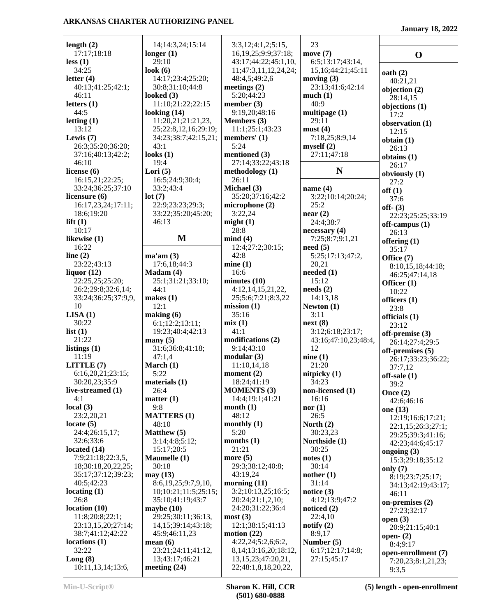**January 18, 2022**

|                                    | 14;14:3,24;15:14        | 3:3,12;4:1,2;5:15,                | 23                                     |                                |
|------------------------------------|-------------------------|-----------------------------------|----------------------------------------|--------------------------------|
| length $(2)$<br>17:17;18:18        | longer $(1)$            | 16, 19, 25; 9: 9; 37: 18;         | move $(7)$                             |                                |
| less(1)                            | 29:10                   | 43:17;44:22;45:1,10,              |                                        | $\mathbf 0$                    |
| 34:25                              | look $(6)$              | 11;47:3,11,12,24,24;              | 6:5;13:17;43:14,                       |                                |
| letter $(4)$                       | 14:17;23:4;25:20;       | 48:4,5;49:2,6                     | 15, 16; 44: 21; 45: 11<br>moving $(3)$ | oath(2)                        |
| 40:13;41:25;42:1;                  | 30:8;31:10;44:8         | meetings $(2)$                    | 23:13;41:6;42:14                       | 40:21,21                       |
| 46:11                              | looked $(3)$            | 5:20;44:23                        | much(1)                                | objection $(2)$                |
| letters $(1)$                      | 11:10;21:22;22:15       | member $(3)$                      | 40:9                                   | 28:14,15                       |
| 44:5                               | looking $(14)$          | 9:19,20;48:16                     | multipage $(1)$                        | objections (1)                 |
| letting $(1)$                      | 11:20,21;21:21,23,      | Members (3)                       | 29:11                                  | 17:2                           |
| 13:12                              | 25;22:8,12,16;29:19;    | 11:1;25:1;43:23                   | must(4)                                | observation (1)<br>12:15       |
| Lewis $(7)$                        | 34:23;38:7;42:15,21;    | members' (1)                      | 7:18,25;8:9,14                         |                                |
| 26:3;35:20;36:20;                  | 43:1                    | 5:24                              | myself(2)                              | obtain(1)<br>26:13             |
| 37:16;40:13;42:2;                  | looks $(1)$             | mentioned (3)                     | 27:11;47:18                            | obtains $(1)$                  |
| 46:10                              | 19:4                    | 27:14;33:22;43:18                 |                                        | 26:17                          |
| license $(6)$                      | Lori $(5)$              | methodology (1)                   | N                                      | obviously (1)                  |
| 16:15,21;22:25;                    | 16:5;24:9;30:4;         | 26:11                             |                                        | 27:2                           |
| 33:24;36:25;37:10                  | 33:2;43:4               | Michael (3)                       | name $(4)$                             | off(1)                         |
| licensure $(6)$                    | lot(7)                  | 35:20;37:16;42:2                  | 3:22;10:14;20:24;                      | 37:6                           |
| 16:17,23,24;17:11;                 | 22:9;23:23;29:3;        | microphone $(2)$                  | 25:2                                   | off- $(3)$                     |
| 18:6;19:20                         | 33:22;35:20;45:20;      | 3:22,24                           | near(2)                                | 22:23;25:25;33:19              |
| lift $(1)$                         | 46:13                   | might(1)                          | 24:4;38:7                              | off-campus (1)                 |
| 10:17                              |                         | 28:8                              | necessary(4)                           | 26:13                          |
| likewise (1)                       | M                       | mind(4)                           | 7:25;8:7;9:1,21                        | offering (1)                   |
| 16:22                              |                         | 12:4;27:2;30:15;                  | need(5)                                | 35:17                          |
| line $(2)$                         | ma'am(3)                | 42:8                              | 5:25;17:13;47:2,                       | Office (7)                     |
| 23:22;43:13                        | 17:6,18;44:3            | mine(1)                           | 20,21                                  | 8:10,15,18;44:18;              |
| liquor $(12)$                      | $Madam (4)$             | 16:6                              | needed (1)                             | 46:25;47:14,18                 |
| 22:25,25;25:20;                    | 25:1;31:21;33:10;       | minutes(10)                       | 15:12                                  | Officer (1)                    |
| 26:2;29:8;32:6,14;                 | 44:1                    | 4:12, 14, 15, 21, 22,             | $\boldsymbol{\text{needs}}$ (2)        | 10:22                          |
| 33:24;36:25;37:9,9,                | makes $(1)$             | 25;5:6;7:21;8:3,22                | 14:13,18                               | officers $(1)$                 |
| 10                                 | 12:1                    | mission(1)                        | Newton $(1)$                           | 23:8                           |
| LISA(1)                            | making (6)              | 35:16                             | 3:11                                   | officials (1)                  |
| 30:22                              | 6:1;12:2;13:11;         | mix(1)                            | next(8)                                | 23:12                          |
| list $(1)$                         | 19:23;40:4;42:13        | 41:1                              | 3:12;6:18;23:17;                       | off-premise (3)                |
| 21:22                              | many $(5)$              | modifications (2)                 | 43:16;47:10,23;48:4,                   | 26:14;27:4;29:5                |
| listings $(1)$                     | 31:6;36:8;41:18;        | 9:14;43:10                        | 12                                     | off-premises (5)               |
| 11:19                              | 47:1,4                  | modular(3)                        | nine(1)                                | 26:17;33:23;36:22;             |
| LITTLE (7)                         | March $(1)$             | 11:10,14,18                       | 21:20                                  | 37:7,12                        |
| 6:16,20,21;23:15;                  | 5:22                    | moment $(2)$                      | nitpicky $(1)$                         | off-sale (1)                   |
| 30:20,23;35:9<br>live-streamed (1) | materials $(1)$         | 18:24;41:19<br><b>MOMENTS (3)</b> | 34:23                                  | 39:2                           |
| 4:1                                | 26:4<br>matter $(1)$    | 14:4;19:1;41:21                   | non-licensed (1)                       | Once $(2)$                     |
| local $(3)$                        | 9:8                     | month $(1)$                       | 16:16<br>nor $(1)$                     | 42:6;46:16                     |
| 23:2,20,21                         | <b>MATTERS (1)</b>      | 48:12                             | 26:5                                   | one $(13)$                     |
| locate $(5)$                       | 48:10                   | monthly $(1)$                     | North $(2)$                            | 12:19;16:6;17:21;              |
| 24:4;26:15,17;                     | <b>Matthew</b> (5)      | 5:20                              | 30:23,23                               | 22:1,15;26:3;27:1;             |
| 32:6;33:6                          | 3:14;4:8;5:12;          | months $(1)$                      | Northside (1)                          | 29:25;39:3;41:16;              |
| located $(14)$                     | 15:17;20:5              | 21:21                             | 30:25                                  | 42:23;44:6;45:17               |
| 7:9;21:18;22:3,5,                  | Maumelle (1)            | more $(5)$                        | notes(1)                               | ongoing $(3)$                  |
| 18;30:18,20,22,25;                 | 30:18                   | 29:3;38:12;40:8;                  | 30:14                                  | 15:3;29:18;35:12               |
| 35:17;37:12;39:23;                 | may (13)                | 43:19,24                          | nother $(1)$                           | only $(7)$<br>8:19;23:7;25:17; |
| 40:5;42:23                         | 8:6,19,25;9:7,9,10,     | morning $(11)$                    | 31:14                                  | 34:13;42:19;43:17;             |
| locating $(1)$                     | 10;10:21;11:5;25:15;    | 3:2;10:13,25;16:5;                | notice $(3)$                           | 46:11                          |
| 26:8                               | 35:10;41:19;43:7        | 20:24;21:1,2,10;                  | 4:12;13:9;47:2                         | on-premises (2)                |
| location(10)                       | maybe $(10)$            | 24:20;31:22;36:4                  | noticed $(2)$                          | 27:23;32:17                    |
| 11:8;20:8;22:1;                    | 29:25;30:11;36:13,      | most(3)                           | 22:4,10                                | open $(3)$                     |
| 23:13,15,20;27:14;                 | 14, 15; 39: 14; 43: 18; | 12:1;38:15;41:13                  | notify $(2)$                           | 20:9;21:15;40:1                |
| 38:7;41:12;42:22                   | 45:9;46:11,23           | motion $(22)$                     | 8:9,17                                 | open- $(2)$                    |
| locations(1)                       | mean $(6)$              | 4:22,24;5:2,6;6:2,                | Number $(5)$                           | 8:4;9:17                       |
| 32:22                              | 23:21;24:11;41:12,      | 8, 14; 13: 16, 20; 18: 12,        | 6:17;12:17;14:8;                       | open-enrollment (7)            |
| Long(8)                            | 13;43:17;46:21          | 13, 15, 23; 47: 20, 21,           | 27:15:45:17                            | 7:20,23;8:1,21,23;             |
| 10:11,13,14;13:6,                  | meeting $(24)$          | 22;48:1,8,18,20,22,               |                                        | 9:3,5                          |

**Min-U-Script® Sharon K. Hill, CCR (501) 680-0888**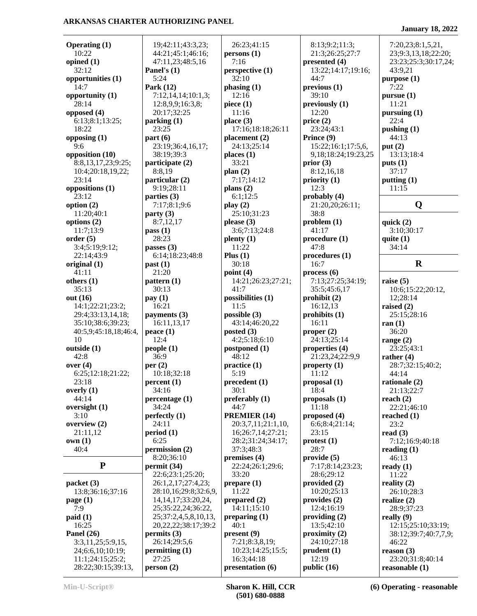**Operating (1)** 10:22 **opined (1)** 32:12 **opportunities (1)** 14:7 **opportunity (1)** 28:14 **opposed (4)** 6:13;8:1;13:25; 18:22 **opposing (1)** 9:6 **opposition (10)** 8:8,13,17,23;9:25; 10:4;20:18,19,22; 23:14 **oppositions (1)** 23:12 **option (2)** 11:20;40:1 **options (2)** 11:7;13:9 **order (5)** 3:4;5:19;9:12; 22:14;43:9 **original (1)** 41:11 **others (1)** 35:13 **out (16)** 14:1;22:21;23:2; 29:4;33:13,14,18; 35:10;38:6;39:23; 40:5,9;45:18,18;46:4, 10 **outside (1)** 42:8 **over (4)** 6:25;12:18;21:22; 23:18 **overly (1)** 44:14 **oversight (1)** 3:10 **overview (2)** 21:11,12 **own (1)** 40:4 **P packet (3)** 13:8;36:16;37:16 **page (1)** 7:9 **paid (1)** 16:25 **Panel's (1)** 5:24 **Park (12) parking (1)** 23:25 **part (6)** 38:19;39:3 **participate (2)** 8:8,19 **particular (2)** 9:19;28:11 **parties (3) party (3)** 8:7,12,17 **pass (1)** 28:23 **passes (3) past (1)** 21:20 **pattern (1)** 30:13 **pay (1)** 16:21 **payments (3) peace (1)**  $12:4$ **people (1)** 36:9 **per (2) percent (1)** 34:16 **percentage (1)** 34:24 **perfectly (1)** 24:11 **period (1)** 6:25 **permission (2)** 8:20;36:10 **permit (34)**

 19;42:11;43:3,23; 44:21;45:1;46:16; 47:11,23;48:5,16 7:12,14,14;10:1,3; 12:8,9,9;16:3,8; 20:17;32:25 23:19;36:4,16,17; 7:17;8:1;9:6 6:14;18:23;48:8 16:11,13,17 10:18;32:18 22:6;23:1;25:20; 26:1,2,17;27:4,23; 28:10,16;29:8;32:6,9, 14,14,17;33:20,24, 25;35:22,24;36:22, 25;37:2,4,5,8,10,13, 20,22,22;38:17;39:2 **permits (3)** 26:14;29:5,6 **permitting (1)** 27:25 **person (2)** 26:23;41:15 **persons (1)** 7:16 **perspective (1)** 32:10 **phasing (1)** 12:16 **piece (1)** 11:16 **place (3)** 17:16;18:18;26:11 **placement (2)** 24:13;25:14 **places (1)** 33:21 **plan (2)** 7:17;14:12 **plans (2)** 6:1;12:5 **play (2)** 25:10;31:23 **please (3)** 3:6;7:13;24:8 **plenty (1)** 11:22 **Plus (1)** 30:18 **point (4)** 14:21;26:23;27:21; 41:7 **possibilities (1)** 11:5 **possible (3)** 43:14;46:20,22 **posted (3)** 4:2;5:18;6:10 **postponed (1)** 48:12 **practice (1)** 5:19 **precedent (1)** 30:1 **preferably (1)** 44:7 **PREMIER (14)** 20:3,7,11;21:1,10, 16;26:7,14;27:21; 28:2;31:24;34:17; 37:3;48:3 **premises (4)** 22:24;26:1;29:6; 33:20 **prepare (1)** 11:22 **prepared (2)** 14:11;15:10 **preparing (1)** 40:1 **present (9)** 7:21;8:3,8,19; 10:23;14:25;15:5; 16:3;44:18 **presentation (6)**

 8:13;9:2;11:3; 21:3;26:25;27:7 **presented (4)** 13:22;14:17;19:16; 44:7 **previous (1)** 39:10 **previously (1)** 12:20 **price (2)** 23:24;43:1 **Prince (9)** 15:22;16:1;17:5,6, 9,18;18:24;19:23,25 **prior (3)** 8:12,16,18 **priority (1)** 12:3 **probably (4)** 21:20,20;26:11; 38:8 **problem (1)** 41:17 **procedure (1)** 47:8 **procedures (1)** 16:7 **process (6)** 7:13;27:25;34:19; 35:5;45:6,17 **prohibit (2)** 16:12,13 **prohibits (1)** 16:11 **proper (2)** 24:13;25:14 **properties (4)** 21:23,24;22:9,9 **property (1)** 11:12 **proposal (1)** 18:4 **proposals (1)** 11:18 **proposed (4)** 6:6;8:4;21:14; 23:15 **protest (1)** 28:7 **provide (5)** 7:17;8:14;23:23; 28:6;29:12 **provided (2)** 10:20;25:13 **provides (2)** 12:4;16:19 **providing (2)** 13:5;42:10 **proximity (2)** 24:10;27:18 **prudent (1)** 12:19 **public (16)**

**January 18, 2022**

 7:20,23;8:1,5,21, 23;9:3,13,18;22:20; 23:23;25:3;30:17,24; 43:9,21 **purpose (1)** 7:22 **pursue (1)** 11:21 **pursuing (1)** 22:4 **pushing (1)** 44:13 **put (2)** 13:13;18:4 **puts (1)** 37:17 **putting (1)** 11:15 **Q quick (2)** 3:10;30:17 **quite (1)** 34:14 **R raise (5)** 10:6;15:22;20:12, 12;28:14 **raised (2)** 25:15;28:16 **ran (1)** 36:20 **range (2)** 23:25;43:1 **rather (4)** 28:7;32:15;40:2; 44:14 **rationale (2)** 21:13;22:7 **reach (2)** 22:21;46:10 **reached (1)** 23:2 **read (3)** 7:12;16:9;40:18 **reading (1)** 46:13 **ready (1)** 11:22 **reality (2)** 26:10;28:3 **realize (2)** 28:9;37:23 **really (9)** 12:15;25:10;33:19; 38:12;39:7;40:7,7,9; 46:22 **reason (3)** 23:20;31:8;40:14 **reasonable (1)**

**Panel (26)**

 3:3,11,25;5:9,15, 24;6:6,10;10:19; 11:1;24:15;25:2; 28:22;30:15;39:13,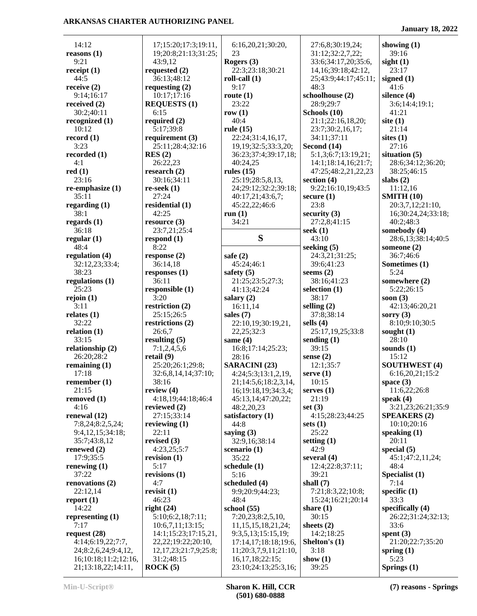**January 18, 2022**

| 14:12                                      | 17;15:20;17:3;19:11,                       | 6:16,20,21;30:20,                           | 27:6,8;30:19,24;        | showing $(1)$         |
|--------------------------------------------|--------------------------------------------|---------------------------------------------|-------------------------|-----------------------|
| reasons $(1)$                              | 19;20:8;21:13;31:25;                       | 23                                          | 31:12;32:2,7,22;        | 39:16                 |
| 9:21                                       | 43:9,12                                    | Rogers $(3)$                                | 33:6;34:17,20;35:6,     | sight $(1)$           |
| receipt $(1)$                              | requested $(2)$                            | 22:3;23:18;30:21                            | 14, 16; 39: 18; 42: 12, | 23:17                 |
| 44:5                                       | 36:13;48:12                                | roll-call $(1)$                             | 25;43:9;44:17;45:11;    | signed $(1)$          |
| receive $(2)$                              | requesting $(2)$                           | 9:17                                        | 48:3                    | 41:6                  |
| 9:14;16:17                                 | 10:17;17:16                                | route $(1)$                                 | schoolhouse (2)         | silence (4)           |
| received $(2)$                             | <b>REQUESTS (1)</b>                        | 23:22                                       | 28:9;29:7               | 3:6;14:4;19:1;        |
| 30:2;40:11                                 | 6:15                                       | row $(1)$                                   | Schools (10)            | 41:21                 |
| recognized $(1)$                           | required $(2)$                             | 40:4                                        | 21:1;22:16,18,20;       | site $(1)$            |
| 10:12                                      | 5:17;39:8                                  | rule $(15)$                                 | 23:7;30:2,16,17;        | 21:14                 |
| record $(1)$                               | requirement $(3)$                          | 22:24;31:4,16,17,                           | 34:11;37:11             | sites $(1)$           |
| 3:23                                       | 25:11;28:4;32:16                           | 19, 19; 32: 5; 33: 3, 20;                   | Second (14)             | 27:16                 |
| recorded (1)                               | RES(2)                                     | 36:23;37:4;39:17,18;                        | 5:1,3;6:7;13:19,21;     | situation $(5)$       |
| 4:1                                        | 26:22,23                                   | 40:24,25                                    | 14:1;18:14,16;21:7;     | 28:6;34:12;36:20;     |
| red(1)                                     | research $(2)$                             | rules $(15)$                                | 47:25;48:2,21,22,23     | 38:25;46:15           |
| 23:16                                      | 30:16;34:11                                | 25:19;28:5,8,13,                            | section $(4)$           | slabs $(2)$           |
| re-emphasize (1)                           | $re-seek(1)$                               | 24;29:12;32:2;39:18;                        | 9:22;16:10,19;43:5      | 11:12,16              |
| 35:11                                      | 27:24                                      | 40:17,21;43:6,7;                            | secure $(1)$            | <b>SMITH (10)</b>     |
| regarding $(1)$                            | residential (1)                            | 45:22,22;46:6                               | 23:8                    | 20:3,7,12;21:10,      |
| 38:1                                       | 42:25                                      | run(1)                                      | security $(3)$          | 16;30:24,24;33:18;    |
| regards $(1)$                              | resource $(3)$                             | 34:21                                       | 27:2,8;41:15            | 40:2;48:3             |
| 36:18                                      | 23:7,21;25:4                               |                                             | seek $(1)$              | somebody (4)          |
| regular $(1)$                              | respond $(1)$                              | S                                           | 43:10                   | 28:6,13;38:14;40:5    |
| 48:4                                       | 8:22                                       |                                             | seeking $(5)$           | someone $(2)$         |
| regulation (4)                             | response $(2)$                             | safe $(2)$                                  | 24:3,21;31:25;          | 36:7;46:6             |
| 32:12,23;33:4;                             | 36:14,18                                   | 45:24;46:1                                  | 39:6;41:23              | Sometimes (1)         |
| 38:23                                      | responses $(1)$                            | safety $(5)$                                | seems $(2)$             | 5:24                  |
| regulations (1)                            | 36:11                                      | 21:25;23:5;27:3;                            | 38:16;41:23             | somewhere (2)         |
| 25:23                                      | responsible (1)                            | 41:13;42:24                                 | selection $(1)$         | 5:22;26:15            |
| rejoin(1)                                  | 3:20                                       | salary $(2)$                                | 38:17                   | soon $(3)$            |
| 3:11                                       | restriction $(2)$                          | 16:11,14                                    | selling $(2)$           | 42:13;46:20,21        |
| relates $(1)$                              | 25:15;26:5                                 | sales $(7)$                                 | 37:8;38:14              | sorry $(3)$           |
| 32:22                                      | restrictions (2)                           | 22:10,19;30:19,21,                          | sells $(4)$             | 8:10;9:10;30:5        |
| relation $(1)$                             | 26:6,7                                     | 22, 25; 32: 3                               | 25:17,19,25;33:8        | sought $(1)$          |
| 33:15                                      | resulting $(5)$                            | same $(4)$                                  | sending $(1)$           | 28:10                 |
| relationship (2)                           | 7:1,2,4,5,6                                | 16:8;17:14;25:23;                           | 39:15                   | sounds $(1)$          |
| 26:20;28:2                                 | retail $(9)$                               | 28:16                                       | sense $(2)$             | 15:12                 |
| remaining $(1)$                            | 25:20;26:1;29:8;                           | <b>SARACINI</b> (23)                        | 12:1;35:7               | <b>SOUTHWEST (4)</b>  |
| 17:18                                      | 32:6,8,14,14;37:10;                        | 4:24;5:3;13:1,2,19,                         | serve $(1)$             | 6:16,20,21;15:2       |
| remember $(1)$                             | 38:16                                      | 21;14:5,6;18:2,3,14,                        | 10:15                   | space $(3)$           |
| 21:15                                      | review $(4)$                               | 16;19:18,19;34:3,4;                         | serves $(1)$            | 11:6,22;26:8          |
| removed (1)                                | 4:18,19;44:18;46:4                         | 45:13,14;47:20,22;                          | 21:19                   | speak $(4)$           |
| 4:16                                       | reviewed (2)                               | 48:2,20,23                                  | set $(3)$               | 3:21,23;26:21;35:9    |
| renewal $(12)$                             | 27:15:33:14                                | satisfactory $(1)$                          | 4:15;28:23;44:25        | <b>SPEAKERS (2)</b>   |
| 7:8,24;8:2,5,24;                           | reviewing $(1)$                            | 44:8                                        | sets $(1)$              | 10:10;20:16           |
| 9:4,12,15;34:18;                           | 22:11                                      | saying $(3)$                                | 25:22                   | speaking $(1)$        |
| 35:7;43:8,12                               | revised $(3)$                              | 32:9,16;38:14                               | setting $(1)$           | 20:11                 |
| renewed $(2)$                              | 4:23,25;5:7                                | scenario (1)                                | 42:9                    | special $(5)$         |
| 17:9:35:5                                  | revision $(1)$                             | 35:22                                       | several $(4)$           | 45:1;47:2,11,24;      |
| renewing $(1)$                             | 5:17                                       | schedule $(1)$                              | 12:4;22:8;37:11;        | 48:4                  |
| 37:22                                      | revisions $(1)$                            | 5:16                                        | 39:21                   | Specialist (1)        |
| renovations (2)                            | 4:7                                        | scheduled (4)                               | shall $(7)$             | 7:14                  |
| 22:12,14                                   | revisit $(1)$                              | 9:9;20:9;44:23;                             | 7:21;8:3,22;10:8;       | specific $(1)$        |
| report $(1)$                               | 46:23                                      | 48:4                                        | 15:24;16:21;20:14       | 33:3                  |
| 14:22                                      | right $(24)$                               | school $(55)$                               | share $(1)$             | specifically $(4)$    |
| representing $(1)$                         | 5:10;6:2,18;7:11;                          | 7:20,23;8:2,5,10,                           | 30:15                   | 26:22;31:24;32:13;    |
| 7:17                                       | 10:6,7,11;13:15;                           | 11, 15, 15, 18, 21, 24;                     | sheets $(2)$            | 33:6                  |
| request (28)                               | 14:1;15:23;17:15,21,<br>22,22;19:22;20:10, | 9:3,5,13;15:15,19;                          | 14:2;18:25              | spent $(3)$           |
| 4:14;6:19,22;7:7,                          |                                            | 17:14,17;18:18;19:6,                        | Shelton's (1)           | 21:20;22:7;35:20      |
| 24;8:2,6,24;9:4,12,                        | 12, 17, 23; 21: 7, 9; 25: 8;               | 11;20:3,7,9,11;21:10,                       | 3:18                    | spring $(1)$          |
| 16;10:18;11:2;12:16,<br>21;13:18,22;14:11, | 31:2;48:15<br>ROCK(5)                      | 16, 17, 18; 22: 15;<br>23:10;24:13;25:3,16; | show $(1)$<br>39:25     | 5:23<br>Springs $(1)$ |
|                                            |                                            |                                             |                         |                       |

**Min-U-Script® Sharon K. Hill, CCR (501) 680-0888**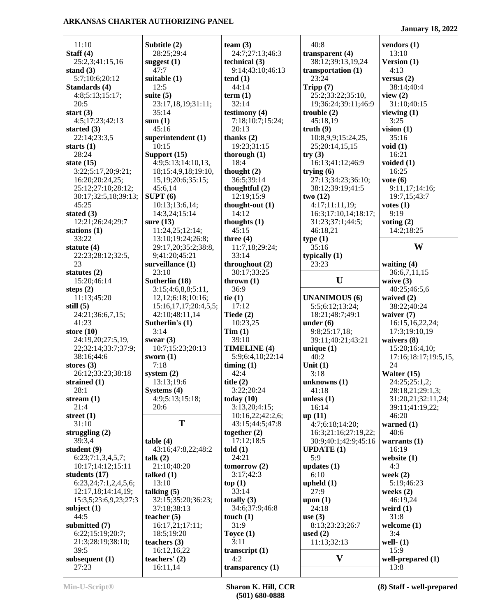11:10 **Staff (4)** 25:2,3;41:15,16 **stand (3)** 5:7;10:6;20:12 **Standards (4)** 4:8;5:13;15:17; 20:5 **start (3)** 4:5;17:23;42:13 **started (3)** 22:14;23:3,5 **starts (1)** 28:24 **state (15)** 3:22;5:17,20;9:21; 16:20;20:24,25; 25:12;27:10;28:12; 30:17;32:5,18;39:13; 45:25 **stated (3)** 12:21;26:24;29:7 **stations (1)** 33:22 **statute (4)** 22:23;28:12;32:5, 23 **statutes (2)** 15:20;46:14 **steps (2)** 11:13;45:20 **still (5)** 24:21;36:6,7,15; 41:23 **store (10)** 24:19,20;27:5,19, 22;32:14;33:7;37:9; 38:16;44:6 **stores (3)** 26:12;33:23;38:18 **strained (1)** 28:1 **stream (1)** 21:4 **street (1)** 31:10 **struggling (2)** 39:3,4 **student (9)** 6:23;7:1,3,4,5,7; 10:17;14:12;15:11 **students (17)** 6:23,24;7:1,2,4,5,6; 12:17,18;14:14,19; 15:3,5;23:6,9,23;27:3 **subject (1)** 44:5 **submitted (7)** 6:22;15:19;20:7; 21:3;28:19;38:10; 39:5 **subsequent (1)** 27:23

**Subtitle (2)** 28:25;29:4 **suggest (1)** 47:7 **suitable (1)** 12:5 **suite (5)** 23:17,18,19;31:11; 35:14 **sum (1)** 45:16 **superintendent (1)** 10:15 **Support (15)** 4:9;5:13;14:10,13, 18;15:4,9,18;19:10, 15,19;20:6;35:15; 45:6,14 **SUPT (6)** 10:13;13:6,14; 14:3,24;15:14 **sure (13)** 11:24,25;12:14; 13:10;19:24;26:8; 29:17,20;35:2;38: 9;41:20;45:21 **surveillance (1)** 23:10 **Sutherlin (18)** 3:15;4:6,8,8;5:11, 12,12;6:18;10:16; 15:16,17,17;20:4,5 42:10;48:11,14 **Sutherlin's (1)** 3:14 **swear (3)** 10:7;15:23;20:13 **sworn (1)** 7:18 **system (2)** 13:13;19:6 **Systems (4)** 4:9;5:13;15:18; 20:6 **T table (4)** 43:16;47:8,22;48:2 **talk (2)** 21:10;40:20 **talked (1)** 13:10 **talking (5)** 32:15;35:20;36:23; 37:18;38:13 **teacher (5)** 16:17,21;17:11; 18:5;19:20 **teachers (3)** 16:12,16,22 **teachers' (2)** 16:11,14

|                         | team $(3)$                              | 4                        |
|-------------------------|-----------------------------------------|--------------------------|
|                         | 24:7;27:13;46:3<br>technical (3)        | tra<br>3                 |
|                         | 9:14;43:10;46:13                        | tra                      |
|                         | tend(1)                                 | 2                        |
|                         | 44:14                                   | Tri                      |
|                         | term(1)<br>32:14                        | 2<br>1                   |
| .;                      | testimony (4)                           | tro                      |
|                         | 7:18;10:7;15:24;                        | 4                        |
|                         | 20:13<br>thanks $(2)$                   | tru<br>1                 |
|                         | 19:23;31:15                             | 2                        |
|                         | thorough $(1)$                          | try                      |
| $\overline{0}$          | 18:4<br>thought $(2)$                   | 1<br>try                 |
|                         | 36:5;39:14                              |                          |
|                         | thoughtful $(2)$                        | 3                        |
|                         | 12:19;15:9                              | two                      |
|                         | thought-out (1)<br>14:12                | 4<br>1                   |
|                         | thoughts $(1)$                          | 3                        |
|                         | 45:15                                   | $\overline{\mathcal{L}}$ |
| 8,                      | three $(4)$<br>11:7,18;29:24;           | typ<br>3                 |
|                         | 33:14                                   | typ                      |
|                         | throughout (2)                          | 2                        |
|                         | 30:17;33:25<br>thrown $(1)$             |                          |
|                         | 36:9                                    |                          |
|                         | tie $(1)$                               | UN                       |
| 5,5;                    | 17:12                                   | 5<br>1                   |
|                         | Tiede $(2)$<br>10:23,25                 | <b>un</b>                |
|                         | Tim(1)                                  | ç                        |
|                         | 39:10                                   |                          |
|                         | <b>TIMELINE (4)</b><br>5:9;6:4,10;22:14 | uni<br>4                 |
|                         | timing(1)                               | Un                       |
|                         | 42:4                                    | 3                        |
|                         | title $(2)$<br>3:22;20:24               | unl<br>4                 |
|                         | today $(10)$                            | unl                      |
|                         | 3:13,20;4:15;                           | 1                        |
|                         | 10:16,22;42:2,6;<br>43:15;44:5;47:8     | up<br>4                  |
|                         | together $(2)$                          | 1                        |
|                         | 17:12;18:5                              | 3                        |
| 2                       | $t$ old $(1)$<br>24:21                  | <b>UP</b><br>5           |
|                         | tomorrow $(2)$                          | upo                      |
|                         | 3:17;42:3                               | 6                        |
|                         | top(1)<br>33:14                         | upl<br>2                 |
| $\overline{\mathbf{S}}$ | totally $(3)$                           | up(                      |
|                         | 34:6;37:9;46:8                          | 2                        |
|                         | touch $(1)$<br>31:9                     | use<br>δ                 |
|                         | Toyce $(1)$                             | use                      |
|                         | 3:11                                    | 1                        |
|                         | transcript $(1)$<br>4:2                 |                          |
|                         | transparency (1)                        |                          |

| 40:8                 | vendors (1)                 |
|----------------------|-----------------------------|
| transparent (4)      | 13:10                       |
| 38:12;39:13,19,24    |                             |
|                      | Version (1)                 |
| transportation (1)   | 4:13                        |
| 23:24                | versus (2)                  |
| Tripp (7)            | 38:14;40:4                  |
| 25:2;33:22;35:10,    | view $(2)$                  |
| 19;36:24;39:11;46:9  | 31:10;40:15                 |
| trouble (2)          | viewing $(1)$               |
| 45:18,19             | 3:25                        |
| truth (9)            | vision $(1)$                |
| 10:8,9,9;15:24,25,   | 35:16                       |
| 25;20:14,15,15       | void(1)                     |
| try(3)               | 16:21                       |
| 16:13;41:12;46:9     | voided (1)                  |
| trying (6)           | 16:25                       |
| 27:13;34:23;36:10;   | $\mathbf{vote}(\mathbf{6})$ |
| 38:12;39:19;41:5     | 9:11,17;14:16;              |
|                      |                             |
| two (12)             | 19:7,15;43:7                |
| 4:17;11:11,19;       | votes(1)                    |
| 16:3;17:10,14;18:17; | 9:19                        |
| 31:23;37:1;44:5;     | voting $(2)$                |
| 46:18,21             | 14:2;18:25                  |
| type(1)              |                             |
| 35:16                | W                           |
| typically (1)        |                             |
| 23:23                | waiting (4)                 |
|                      | 36:6,7,11,15                |
| U                    | waive $(3)$                 |
|                      |                             |
|                      |                             |
|                      | 40:25;46:5,6                |
| <b>UNANIMOUS (6)</b> | waived (2)                  |
| 5:5;6:12;13:24;      | 38:22;40:24                 |
| 18:21;48:7;49:1      | waiver (7)                  |
| under (6)            | 16:15,16,22,24;             |
| 9:8;25:17,18;        | 17:3;19:10,19               |
| 39:11;40:21;43:21    | waivers (8)                 |
| unique (1)           | 15:20;16:4,10;              |
| 40:2                 | 17:16;18:17;19:5,15,        |
| Unit $(1)$           | 24                          |
| 3:18                 | Walter (15)                 |
|                      |                             |
| unknowns (1)         | 24:25;25:1,2;               |
| 41:18                | 28:18,21;29:1,3;            |
| unless $(1)$         | 31:20,21;32:11,24;          |
| 16:14                | 39:11;41:19,22;             |
| up (11)              | 46:20                       |
| 4:7;6:18;14:20;      | warned (1)                  |
| 16:3;21:16;27:19,22; | 40:6                        |
| 30:9;40:1;42:9;45:16 | warrants $(1)$              |
| <b>UPDATE (1)</b>    | 16:19                       |
| 5:9                  | website (1)                 |
| updates (1)          | 4:3                         |
| 6:10                 | week $(2)$                  |
| upheld $(1)$         | 5:19;46:23                  |
| 27:9                 | weeks $(2)$                 |
| upon $(1)$           | 46:19,24                    |
| 24:18                |                             |
|                      | weird (1)                   |
| use(3)               | 31:8                        |
| 8:13;23:23;26:7      | welcome (1)                 |
|                      | 3:4                         |
| 11:13;32:13          | well- $(1)$                 |
|                      | 15:9                        |
| used $(2)$<br>V      | well-prepared (1)<br>13:8   |

**January 18, 2022**

**W**